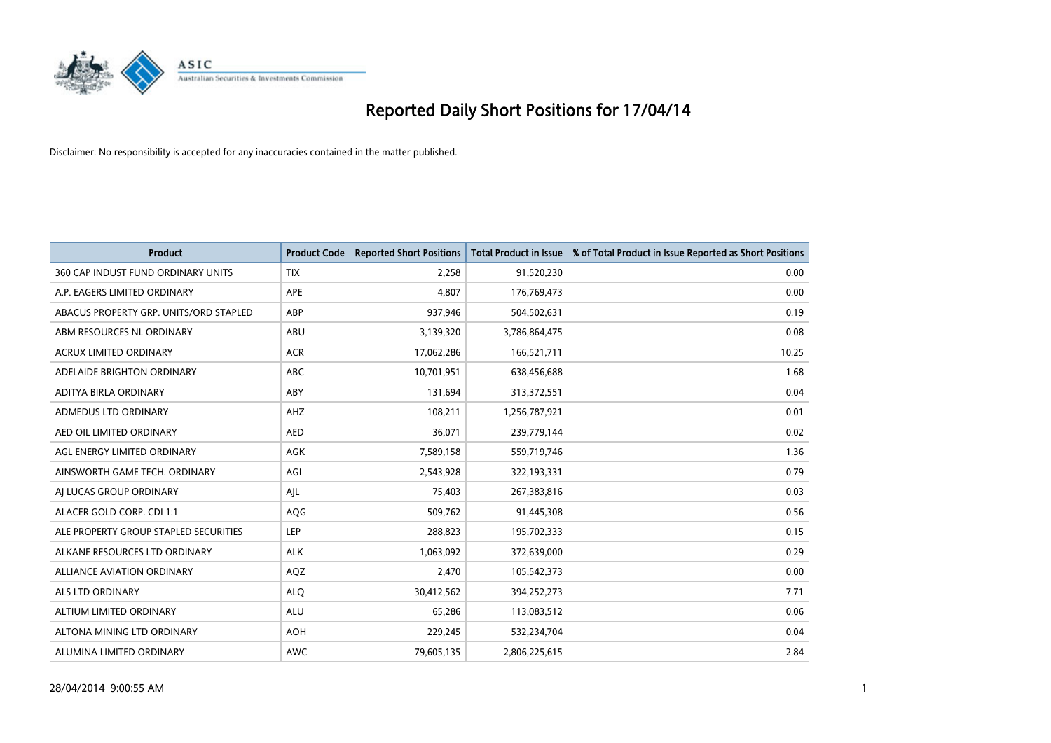

| <b>Product</b>                         | <b>Product Code</b> | <b>Reported Short Positions</b> | <b>Total Product in Issue</b> | % of Total Product in Issue Reported as Short Positions |
|----------------------------------------|---------------------|---------------------------------|-------------------------------|---------------------------------------------------------|
| 360 CAP INDUST FUND ORDINARY UNITS     | <b>TIX</b>          | 2,258                           | 91,520,230                    | 0.00                                                    |
| A.P. EAGERS LIMITED ORDINARY           | APE                 | 4,807                           | 176,769,473                   | 0.00                                                    |
| ABACUS PROPERTY GRP. UNITS/ORD STAPLED | ABP                 | 937,946                         | 504,502,631                   | 0.19                                                    |
| ABM RESOURCES NL ORDINARY              | ABU                 | 3,139,320                       | 3,786,864,475                 | 0.08                                                    |
| <b>ACRUX LIMITED ORDINARY</b>          | <b>ACR</b>          | 17,062,286                      | 166,521,711                   | 10.25                                                   |
| ADELAIDE BRIGHTON ORDINARY             | <b>ABC</b>          | 10,701,951                      | 638,456,688                   | 1.68                                                    |
| ADITYA BIRLA ORDINARY                  | ABY                 | 131,694                         | 313,372,551                   | 0.04                                                    |
| ADMEDUS LTD ORDINARY                   | AHZ                 | 108,211                         | 1,256,787,921                 | 0.01                                                    |
| AED OIL LIMITED ORDINARY               | <b>AED</b>          | 36,071                          | 239,779,144                   | 0.02                                                    |
| AGL ENERGY LIMITED ORDINARY            | AGK                 | 7,589,158                       | 559,719,746                   | 1.36                                                    |
| AINSWORTH GAME TECH. ORDINARY          | AGI                 | 2,543,928                       | 322,193,331                   | 0.79                                                    |
| AI LUCAS GROUP ORDINARY                | AJL                 | 75,403                          | 267,383,816                   | 0.03                                                    |
| ALACER GOLD CORP. CDI 1:1              | AQG                 | 509,762                         | 91,445,308                    | 0.56                                                    |
| ALE PROPERTY GROUP STAPLED SECURITIES  | LEP                 | 288,823                         | 195,702,333                   | 0.15                                                    |
| ALKANE RESOURCES LTD ORDINARY          | <b>ALK</b>          | 1,063,092                       | 372,639,000                   | 0.29                                                    |
| ALLIANCE AVIATION ORDINARY             | AQZ                 | 2,470                           | 105,542,373                   | 0.00                                                    |
| ALS LTD ORDINARY                       | <b>ALQ</b>          | 30,412,562                      | 394,252,273                   | 7.71                                                    |
| ALTIUM LIMITED ORDINARY                | ALU                 | 65,286                          | 113,083,512                   | 0.06                                                    |
| ALTONA MINING LTD ORDINARY             | <b>AOH</b>          | 229,245                         | 532,234,704                   | 0.04                                                    |
| ALUMINA LIMITED ORDINARY               | AWC                 | 79,605,135                      | 2,806,225,615                 | 2.84                                                    |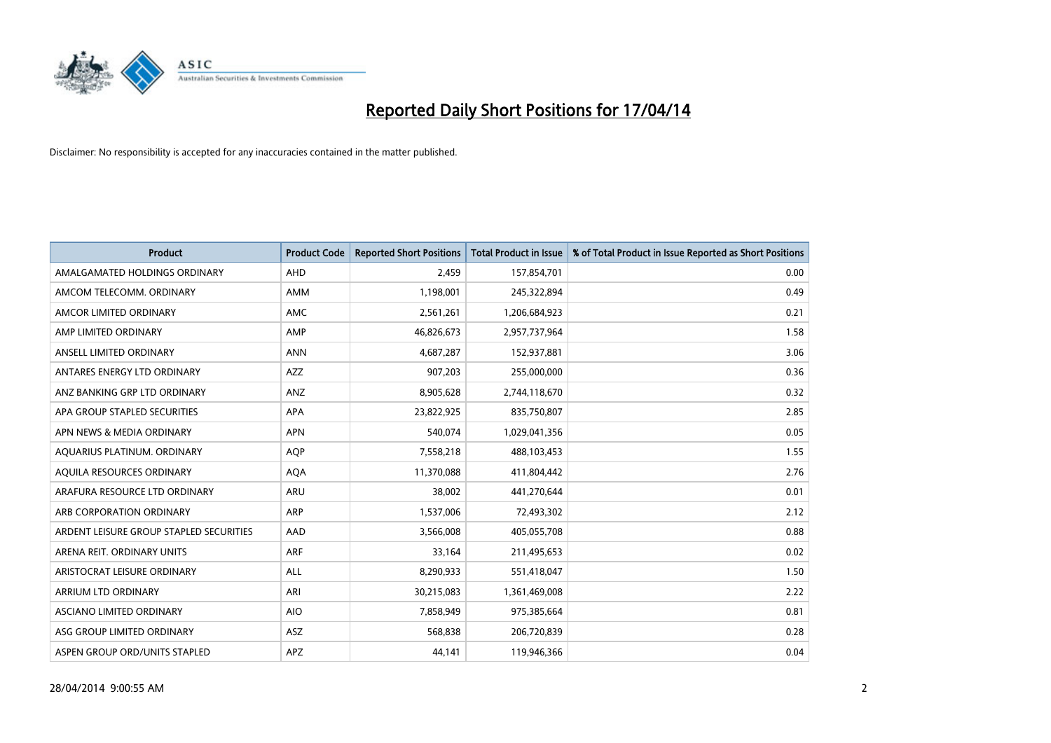

| <b>Product</b>                          | <b>Product Code</b> | <b>Reported Short Positions</b> | <b>Total Product in Issue</b> | % of Total Product in Issue Reported as Short Positions |
|-----------------------------------------|---------------------|---------------------------------|-------------------------------|---------------------------------------------------------|
| AMALGAMATED HOLDINGS ORDINARY           | <b>AHD</b>          | 2,459                           | 157,854,701                   | 0.00                                                    |
| AMCOM TELECOMM. ORDINARY                | AMM                 | 1,198,001                       | 245,322,894                   | 0.49                                                    |
| AMCOR LIMITED ORDINARY                  | AMC                 | 2,561,261                       | 1,206,684,923                 | 0.21                                                    |
| AMP LIMITED ORDINARY                    | AMP                 | 46,826,673                      | 2,957,737,964                 | 1.58                                                    |
| ANSELL LIMITED ORDINARY                 | <b>ANN</b>          | 4,687,287                       | 152,937,881                   | 3.06                                                    |
| ANTARES ENERGY LTD ORDINARY             | AZZ                 | 907,203                         | 255,000,000                   | 0.36                                                    |
| ANZ BANKING GRP LTD ORDINARY            | <b>ANZ</b>          | 8,905,628                       | 2,744,118,670                 | 0.32                                                    |
| APA GROUP STAPLED SECURITIES            | APA                 | 23,822,925                      | 835,750,807                   | 2.85                                                    |
| APN NEWS & MEDIA ORDINARY               | <b>APN</b>          | 540,074                         | 1,029,041,356                 | 0.05                                                    |
| AQUARIUS PLATINUM. ORDINARY             | <b>AOP</b>          | 7,558,218                       | 488,103,453                   | 1.55                                                    |
| AQUILA RESOURCES ORDINARY               | <b>AQA</b>          | 11,370,088                      | 411,804,442                   | 2.76                                                    |
| ARAFURA RESOURCE LTD ORDINARY           | ARU                 | 38,002                          | 441,270,644                   | 0.01                                                    |
| ARB CORPORATION ORDINARY                | <b>ARP</b>          | 1,537,006                       | 72,493,302                    | 2.12                                                    |
| ARDENT LEISURE GROUP STAPLED SECURITIES | AAD                 | 3,566,008                       | 405,055,708                   | 0.88                                                    |
| ARENA REIT. ORDINARY UNITS              | <b>ARF</b>          | 33,164                          | 211,495,653                   | 0.02                                                    |
| ARISTOCRAT LEISURE ORDINARY             | ALL                 | 8,290,933                       | 551,418,047                   | 1.50                                                    |
| ARRIUM LTD ORDINARY                     | ARI                 | 30,215,083                      | 1,361,469,008                 | 2.22                                                    |
| ASCIANO LIMITED ORDINARY                | <b>AIO</b>          | 7,858,949                       | 975,385,664                   | 0.81                                                    |
| ASG GROUP LIMITED ORDINARY              | <b>ASZ</b>          | 568,838                         | 206,720,839                   | 0.28                                                    |
| ASPEN GROUP ORD/UNITS STAPLED           | APZ                 | 44,141                          | 119,946,366                   | 0.04                                                    |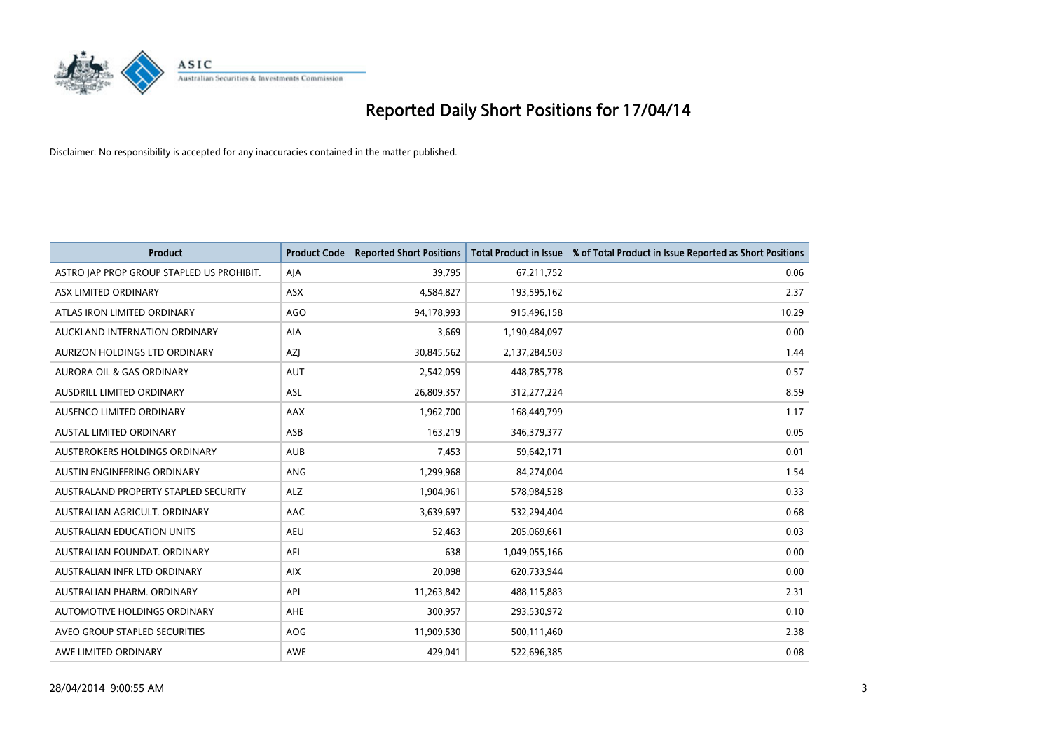

| Product                                   | <b>Product Code</b> | <b>Reported Short Positions</b> | <b>Total Product in Issue</b> | % of Total Product in Issue Reported as Short Positions |
|-------------------------------------------|---------------------|---------------------------------|-------------------------------|---------------------------------------------------------|
| ASTRO JAP PROP GROUP STAPLED US PROHIBIT. | AJA                 | 39,795                          | 67,211,752                    | 0.06                                                    |
| ASX LIMITED ORDINARY                      | ASX                 | 4,584,827                       | 193,595,162                   | 2.37                                                    |
| ATLAS IRON LIMITED ORDINARY               | <b>AGO</b>          | 94,178,993                      | 915,496,158                   | 10.29                                                   |
| AUCKLAND INTERNATION ORDINARY             | AIA                 | 3,669                           | 1,190,484,097                 | 0.00                                                    |
| <b>AURIZON HOLDINGS LTD ORDINARY</b>      | <b>AZI</b>          | 30,845,562                      | 2,137,284,503                 | 1.44                                                    |
| <b>AURORA OIL &amp; GAS ORDINARY</b>      | <b>AUT</b>          | 2,542,059                       | 448,785,778                   | 0.57                                                    |
| AUSDRILL LIMITED ORDINARY                 | <b>ASL</b>          | 26,809,357                      | 312,277,224                   | 8.59                                                    |
| AUSENCO LIMITED ORDINARY                  | AAX                 | 1,962,700                       | 168,449,799                   | 1.17                                                    |
| <b>AUSTAL LIMITED ORDINARY</b>            | ASB                 | 163,219                         | 346,379,377                   | 0.05                                                    |
| <b>AUSTBROKERS HOLDINGS ORDINARY</b>      | <b>AUB</b>          | 7,453                           | 59,642,171                    | 0.01                                                    |
| AUSTIN ENGINEERING ORDINARY               | ANG                 | 1,299,968                       | 84,274,004                    | 1.54                                                    |
| AUSTRALAND PROPERTY STAPLED SECURITY      | <b>ALZ</b>          | 1,904,961                       | 578,984,528                   | 0.33                                                    |
| AUSTRALIAN AGRICULT. ORDINARY             | AAC                 | 3,639,697                       | 532,294,404                   | 0.68                                                    |
| AUSTRALIAN EDUCATION UNITS                | <b>AEU</b>          | 52,463                          | 205,069,661                   | 0.03                                                    |
| AUSTRALIAN FOUNDAT, ORDINARY              | AFI                 | 638                             | 1,049,055,166                 | 0.00                                                    |
| AUSTRALIAN INFR LTD ORDINARY              | <b>AIX</b>          | 20,098                          | 620,733,944                   | 0.00                                                    |
| AUSTRALIAN PHARM. ORDINARY                | API                 | 11,263,842                      | 488,115,883                   | 2.31                                                    |
| AUTOMOTIVE HOLDINGS ORDINARY              | AHE                 | 300,957                         | 293,530,972                   | 0.10                                                    |
| AVEO GROUP STAPLED SECURITIES             | <b>AOG</b>          | 11,909,530                      | 500,111,460                   | 2.38                                                    |
| AWE LIMITED ORDINARY                      | AWE                 | 429,041                         | 522,696,385                   | 0.08                                                    |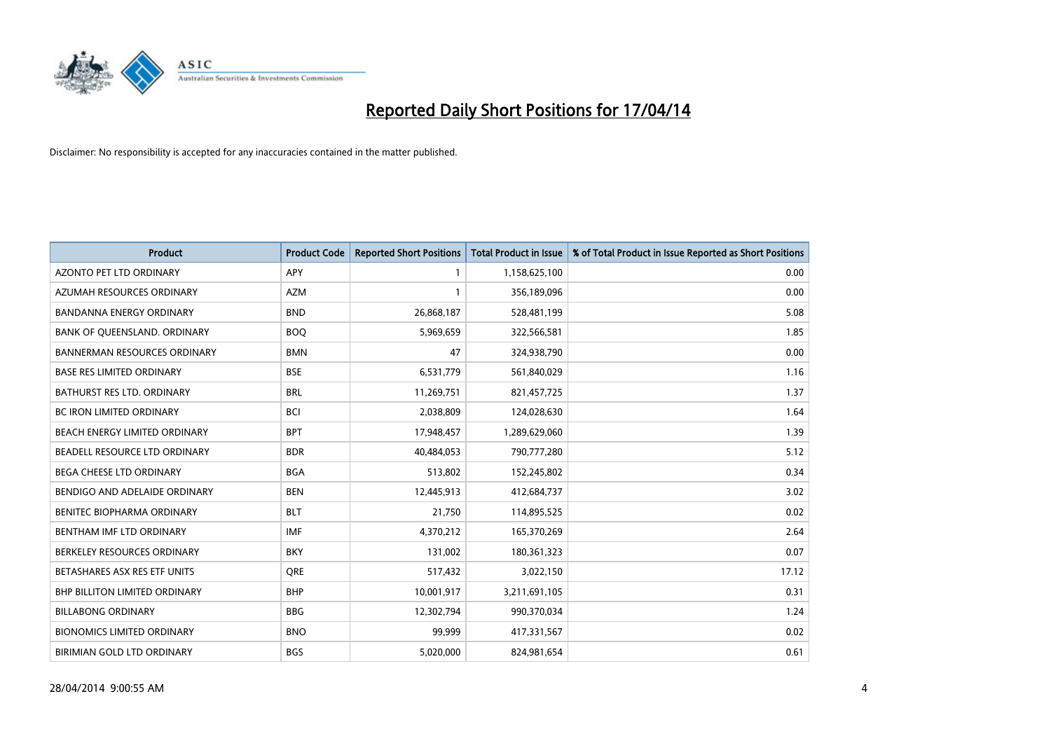

| <b>Product</b>                      | <b>Product Code</b> | <b>Reported Short Positions</b> | <b>Total Product in Issue</b> | % of Total Product in Issue Reported as Short Positions |
|-------------------------------------|---------------------|---------------------------------|-------------------------------|---------------------------------------------------------|
| <b>AZONTO PET LTD ORDINARY</b>      | APY                 | 1                               | 1,158,625,100                 | 0.00                                                    |
| AZUMAH RESOURCES ORDINARY           | AZM                 | $\mathbf{1}$                    | 356,189,096                   | 0.00                                                    |
| BANDANNA ENERGY ORDINARY            | <b>BND</b>          | 26,868,187                      | 528,481,199                   | 5.08                                                    |
| BANK OF QUEENSLAND. ORDINARY        | <b>BOQ</b>          | 5,969,659                       | 322,566,581                   | 1.85                                                    |
| <b>BANNERMAN RESOURCES ORDINARY</b> | <b>BMN</b>          | 47                              | 324,938,790                   | 0.00                                                    |
| <b>BASE RES LIMITED ORDINARY</b>    | <b>BSE</b>          | 6,531,779                       | 561,840,029                   | 1.16                                                    |
| BATHURST RES LTD. ORDINARY          | <b>BRL</b>          | 11,269,751                      | 821,457,725                   | 1.37                                                    |
| BC IRON LIMITED ORDINARY            | <b>BCI</b>          | 2,038,809                       | 124,028,630                   | 1.64                                                    |
| BEACH ENERGY LIMITED ORDINARY       | <b>BPT</b>          | 17,948,457                      | 1,289,629,060                 | 1.39                                                    |
| BEADELL RESOURCE LTD ORDINARY       | <b>BDR</b>          | 40,484,053                      | 790,777,280                   | 5.12                                                    |
| BEGA CHEESE LTD ORDINARY            | <b>BGA</b>          | 513,802                         | 152,245,802                   | 0.34                                                    |
| BENDIGO AND ADELAIDE ORDINARY       | <b>BEN</b>          | 12,445,913                      | 412,684,737                   | 3.02                                                    |
| BENITEC BIOPHARMA ORDINARY          | BLT                 | 21,750                          | 114,895,525                   | 0.02                                                    |
| BENTHAM IMF LTD ORDINARY            | <b>IMF</b>          | 4,370,212                       | 165,370,269                   | 2.64                                                    |
| BERKELEY RESOURCES ORDINARY         | <b>BKY</b>          | 131,002                         | 180,361,323                   | 0.07                                                    |
| BETASHARES ASX RES ETF UNITS        | <b>ORE</b>          | 517,432                         | 3,022,150                     | 17.12                                                   |
| BHP BILLITON LIMITED ORDINARY       | <b>BHP</b>          | 10,001,917                      | 3,211,691,105                 | 0.31                                                    |
| <b>BILLABONG ORDINARY</b>           | <b>BBG</b>          | 12,302,794                      | 990,370,034                   | 1.24                                                    |
| <b>BIONOMICS LIMITED ORDINARY</b>   | <b>BNO</b>          | 99,999                          | 417,331,567                   | 0.02                                                    |
| BIRIMIAN GOLD LTD ORDINARY          | <b>BGS</b>          | 5,020,000                       | 824,981,654                   | 0.61                                                    |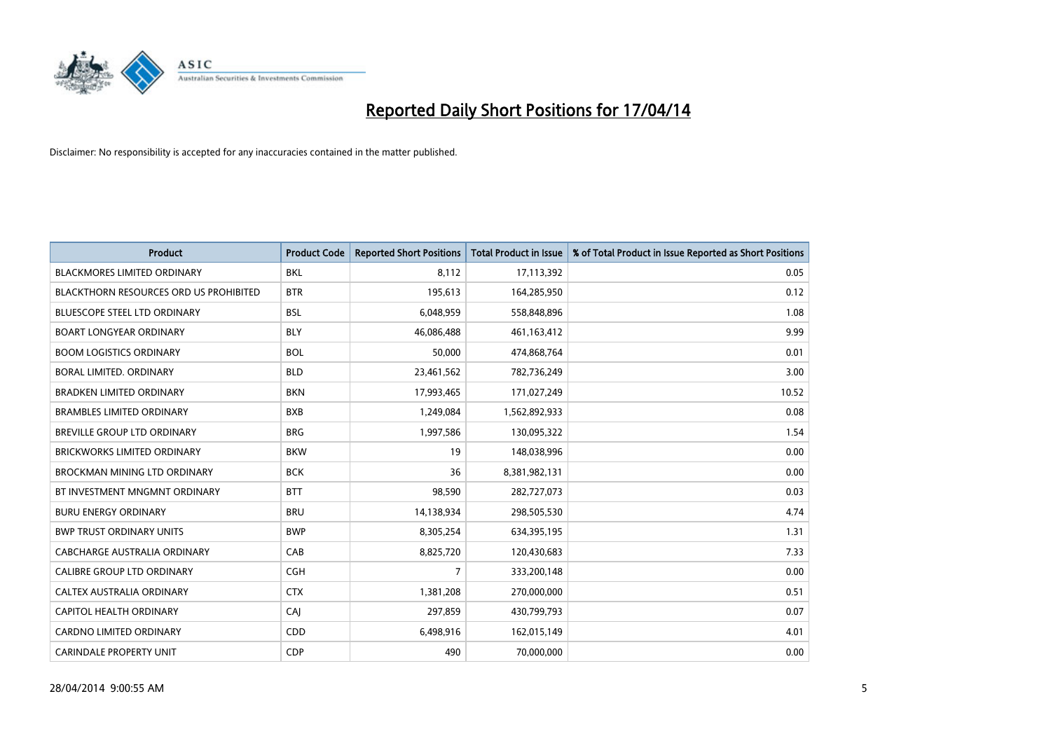

| <b>Product</b>                                | <b>Product Code</b> | <b>Reported Short Positions</b> | <b>Total Product in Issue</b> | % of Total Product in Issue Reported as Short Positions |
|-----------------------------------------------|---------------------|---------------------------------|-------------------------------|---------------------------------------------------------|
| <b>BLACKMORES LIMITED ORDINARY</b>            | <b>BKL</b>          | 8,112                           | 17,113,392                    | 0.05                                                    |
| <b>BLACKTHORN RESOURCES ORD US PROHIBITED</b> | <b>BTR</b>          | 195,613                         | 164,285,950                   | 0.12                                                    |
| <b>BLUESCOPE STEEL LTD ORDINARY</b>           | <b>BSL</b>          | 6,048,959                       | 558,848,896                   | 1.08                                                    |
| <b>BOART LONGYEAR ORDINARY</b>                | <b>BLY</b>          | 46,086,488                      | 461,163,412                   | 9.99                                                    |
| <b>BOOM LOGISTICS ORDINARY</b>                | <b>BOL</b>          | 50,000                          | 474,868,764                   | 0.01                                                    |
| BORAL LIMITED, ORDINARY                       | <b>BLD</b>          | 23,461,562                      | 782,736,249                   | 3.00                                                    |
| <b>BRADKEN LIMITED ORDINARY</b>               | <b>BKN</b>          | 17,993,465                      | 171,027,249                   | 10.52                                                   |
| <b>BRAMBLES LIMITED ORDINARY</b>              | <b>BXB</b>          | 1,249,084                       | 1,562,892,933                 | 0.08                                                    |
| <b>BREVILLE GROUP LTD ORDINARY</b>            | <b>BRG</b>          | 1,997,586                       | 130,095,322                   | 1.54                                                    |
| BRICKWORKS LIMITED ORDINARY                   | <b>BKW</b>          | 19                              | 148,038,996                   | 0.00                                                    |
| BROCKMAN MINING LTD ORDINARY                  | <b>BCK</b>          | 36                              | 8,381,982,131                 | 0.00                                                    |
| BT INVESTMENT MNGMNT ORDINARY                 | <b>BTT</b>          | 98,590                          | 282,727,073                   | 0.03                                                    |
| <b>BURU ENERGY ORDINARY</b>                   | <b>BRU</b>          | 14,138,934                      | 298,505,530                   | 4.74                                                    |
| <b>BWP TRUST ORDINARY UNITS</b>               | <b>BWP</b>          | 8,305,254                       | 634,395,195                   | 1.31                                                    |
| <b>CABCHARGE AUSTRALIA ORDINARY</b>           | CAB                 | 8,825,720                       | 120,430,683                   | 7.33                                                    |
| <b>CALIBRE GROUP LTD ORDINARY</b>             | <b>CGH</b>          | 7                               | 333,200,148                   | 0.00                                                    |
| CALTEX AUSTRALIA ORDINARY                     | <b>CTX</b>          | 1,381,208                       | 270,000,000                   | 0.51                                                    |
| <b>CAPITOL HEALTH ORDINARY</b>                | CAJ                 | 297,859                         | 430,799,793                   | 0.07                                                    |
| <b>CARDNO LIMITED ORDINARY</b>                | CDD                 | 6,498,916                       | 162,015,149                   | 4.01                                                    |
| <b>CARINDALE PROPERTY UNIT</b>                | <b>CDP</b>          | 490                             | 70,000,000                    | 0.00                                                    |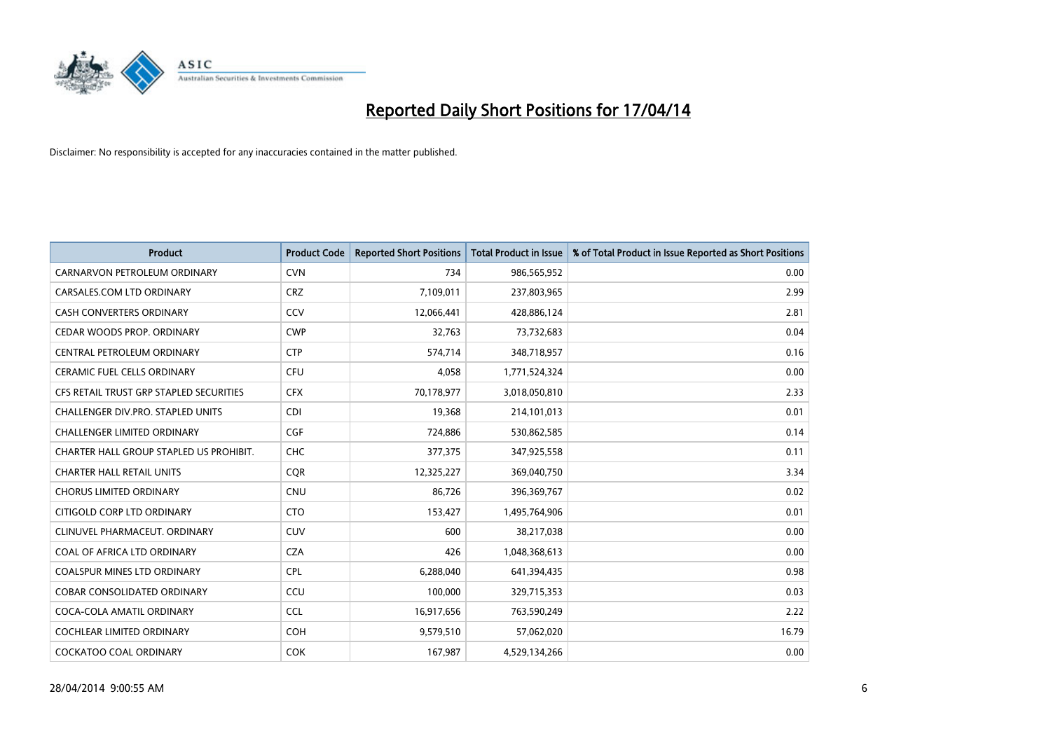

| <b>Product</b>                          | <b>Product Code</b> | <b>Reported Short Positions</b> | <b>Total Product in Issue</b> | % of Total Product in Issue Reported as Short Positions |
|-----------------------------------------|---------------------|---------------------------------|-------------------------------|---------------------------------------------------------|
| CARNARVON PETROLEUM ORDINARY            | <b>CVN</b>          | 734                             | 986,565,952                   | 0.00                                                    |
| CARSALES.COM LTD ORDINARY               | <b>CRZ</b>          | 7,109,011                       | 237,803,965                   | 2.99                                                    |
| CASH CONVERTERS ORDINARY                | CCV                 | 12,066,441                      | 428,886,124                   | 2.81                                                    |
| CEDAR WOODS PROP. ORDINARY              | <b>CWP</b>          | 32,763                          | 73,732,683                    | 0.04                                                    |
| CENTRAL PETROLEUM ORDINARY              | <b>CTP</b>          | 574,714                         | 348,718,957                   | 0.16                                                    |
| <b>CERAMIC FUEL CELLS ORDINARY</b>      | <b>CFU</b>          | 4,058                           | 1,771,524,324                 | 0.00                                                    |
| CFS RETAIL TRUST GRP STAPLED SECURITIES | <b>CFX</b>          | 70,178,977                      | 3,018,050,810                 | 2.33                                                    |
| CHALLENGER DIV.PRO. STAPLED UNITS       | <b>CDI</b>          | 19,368                          | 214,101,013                   | 0.01                                                    |
| <b>CHALLENGER LIMITED ORDINARY</b>      | <b>CGF</b>          | 724,886                         | 530,862,585                   | 0.14                                                    |
| CHARTER HALL GROUP STAPLED US PROHIBIT. | <b>CHC</b>          | 377,375                         | 347,925,558                   | 0.11                                                    |
| <b>CHARTER HALL RETAIL UNITS</b>        | <b>CQR</b>          | 12,325,227                      | 369,040,750                   | 3.34                                                    |
| <b>CHORUS LIMITED ORDINARY</b>          | <b>CNU</b>          | 86,726                          | 396,369,767                   | 0.02                                                    |
| CITIGOLD CORP LTD ORDINARY              | <b>CTO</b>          | 153,427                         | 1,495,764,906                 | 0.01                                                    |
| CLINUVEL PHARMACEUT, ORDINARY           | <b>CUV</b>          | 600                             | 38,217,038                    | 0.00                                                    |
| COAL OF AFRICA LTD ORDINARY             | <b>CZA</b>          | 426                             | 1,048,368,613                 | 0.00                                                    |
| <b>COALSPUR MINES LTD ORDINARY</b>      | <b>CPL</b>          | 6,288,040                       | 641,394,435                   | 0.98                                                    |
| <b>COBAR CONSOLIDATED ORDINARY</b>      | CCU                 | 100,000                         | 329,715,353                   | 0.03                                                    |
| COCA-COLA AMATIL ORDINARY               | <b>CCL</b>          | 16,917,656                      | 763,590,249                   | 2.22                                                    |
| <b>COCHLEAR LIMITED ORDINARY</b>        | COH                 | 9,579,510                       | 57,062,020                    | 16.79                                                   |
| <b>COCKATOO COAL ORDINARY</b>           | <b>COK</b>          | 167,987                         | 4,529,134,266                 | 0.00                                                    |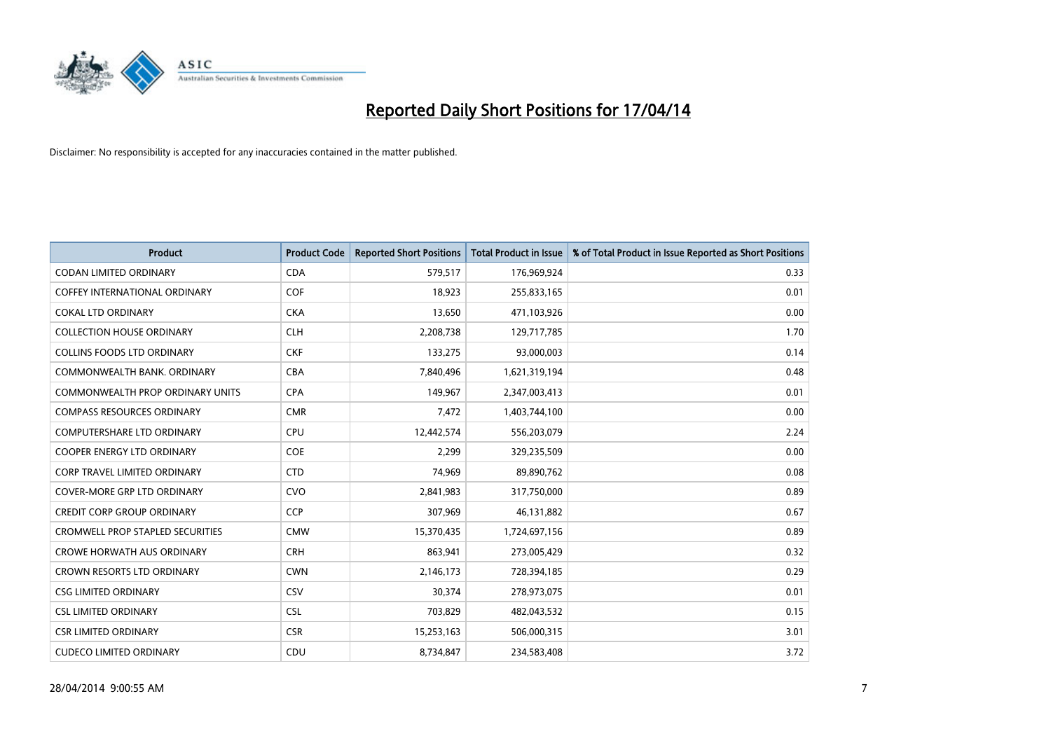

| <b>Product</b>                          | <b>Product Code</b> | <b>Reported Short Positions</b> | <b>Total Product in Issue</b> | % of Total Product in Issue Reported as Short Positions |
|-----------------------------------------|---------------------|---------------------------------|-------------------------------|---------------------------------------------------------|
| <b>CODAN LIMITED ORDINARY</b>           | <b>CDA</b>          | 579,517                         | 176,969,924                   | 0.33                                                    |
| COFFEY INTERNATIONAL ORDINARY           | <b>COF</b>          | 18,923                          | 255,833,165                   | 0.01                                                    |
| <b>COKAL LTD ORDINARY</b>               | <b>CKA</b>          | 13,650                          | 471,103,926                   | 0.00                                                    |
| <b>COLLECTION HOUSE ORDINARY</b>        | <b>CLH</b>          | 2,208,738                       | 129,717,785                   | 1.70                                                    |
| <b>COLLINS FOODS LTD ORDINARY</b>       | <b>CKF</b>          | 133,275                         | 93,000,003                    | 0.14                                                    |
| COMMONWEALTH BANK, ORDINARY             | <b>CBA</b>          | 7,840,496                       | 1,621,319,194                 | 0.48                                                    |
| <b>COMMONWEALTH PROP ORDINARY UNITS</b> | <b>CPA</b>          | 149,967                         | 2,347,003,413                 | 0.01                                                    |
| <b>COMPASS RESOURCES ORDINARY</b>       | <b>CMR</b>          | 7,472                           | 1,403,744,100                 | 0.00                                                    |
| <b>COMPUTERSHARE LTD ORDINARY</b>       | <b>CPU</b>          | 12,442,574                      | 556,203,079                   | 2.24                                                    |
| <b>COOPER ENERGY LTD ORDINARY</b>       | <b>COE</b>          | 2,299                           | 329,235,509                   | 0.00                                                    |
| CORP TRAVEL LIMITED ORDINARY            | <b>CTD</b>          | 74,969                          | 89,890,762                    | 0.08                                                    |
| <b>COVER-MORE GRP LTD ORDINARY</b>      | <b>CVO</b>          | 2,841,983                       | 317,750,000                   | 0.89                                                    |
| <b>CREDIT CORP GROUP ORDINARY</b>       | <b>CCP</b>          | 307,969                         | 46,131,882                    | 0.67                                                    |
| <b>CROMWELL PROP STAPLED SECURITIES</b> | <b>CMW</b>          | 15,370,435                      | 1,724,697,156                 | 0.89                                                    |
| <b>CROWE HORWATH AUS ORDINARY</b>       | <b>CRH</b>          | 863,941                         | 273,005,429                   | 0.32                                                    |
| CROWN RESORTS LTD ORDINARY              | <b>CWN</b>          | 2,146,173                       | 728,394,185                   | 0.29                                                    |
| <b>CSG LIMITED ORDINARY</b>             | CSV                 | 30,374                          | 278,973,075                   | 0.01                                                    |
| <b>CSL LIMITED ORDINARY</b>             | <b>CSL</b>          | 703,829                         | 482,043,532                   | 0.15                                                    |
| <b>CSR LIMITED ORDINARY</b>             | <b>CSR</b>          | 15,253,163                      | 506,000,315                   | 3.01                                                    |
| <b>CUDECO LIMITED ORDINARY</b>          | CDU                 | 8,734,847                       | 234,583,408                   | 3.72                                                    |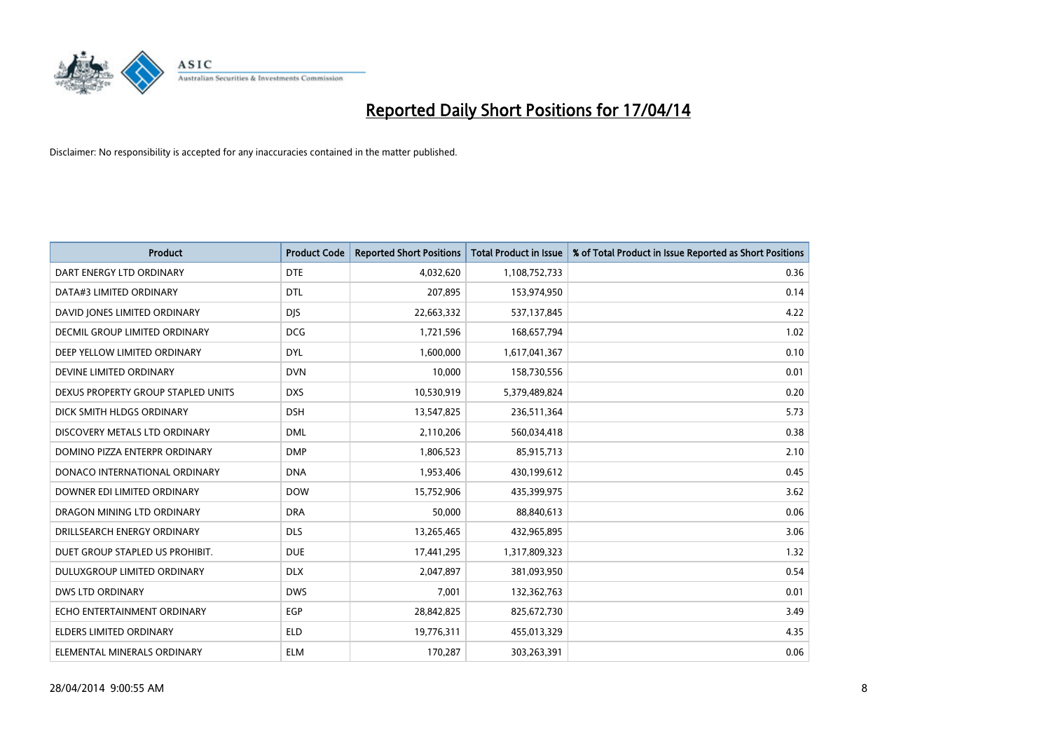

| <b>Product</b>                       | <b>Product Code</b> | <b>Reported Short Positions</b> | <b>Total Product in Issue</b> | % of Total Product in Issue Reported as Short Positions |
|--------------------------------------|---------------------|---------------------------------|-------------------------------|---------------------------------------------------------|
| DART ENERGY LTD ORDINARY             | <b>DTE</b>          | 4,032,620                       | 1,108,752,733                 | 0.36                                                    |
| DATA#3 LIMITED ORDINARY              | <b>DTL</b>          | 207,895                         | 153,974,950                   | 0.14                                                    |
| DAVID JONES LIMITED ORDINARY         | <b>DJS</b>          | 22,663,332                      | 537,137,845                   | 4.22                                                    |
| <b>DECMIL GROUP LIMITED ORDINARY</b> | <b>DCG</b>          | 1,721,596                       | 168,657,794                   | 1.02                                                    |
| DEEP YELLOW LIMITED ORDINARY         | <b>DYL</b>          | 1,600,000                       | 1,617,041,367                 | 0.10                                                    |
| DEVINE LIMITED ORDINARY              | <b>DVN</b>          | 10,000                          | 158,730,556                   | 0.01                                                    |
| DEXUS PROPERTY GROUP STAPLED UNITS   | <b>DXS</b>          | 10,530,919                      | 5,379,489,824                 | 0.20                                                    |
| DICK SMITH HLDGS ORDINARY            | <b>DSH</b>          | 13,547,825                      | 236,511,364                   | 5.73                                                    |
| DISCOVERY METALS LTD ORDINARY        | <b>DML</b>          | 2,110,206                       | 560,034,418                   | 0.38                                                    |
| DOMINO PIZZA ENTERPR ORDINARY        | <b>DMP</b>          | 1,806,523                       | 85,915,713                    | 2.10                                                    |
| DONACO INTERNATIONAL ORDINARY        | <b>DNA</b>          | 1,953,406                       | 430,199,612                   | 0.45                                                    |
| DOWNER EDI LIMITED ORDINARY          | <b>DOW</b>          | 15,752,906                      | 435,399,975                   | 3.62                                                    |
| DRAGON MINING LTD ORDINARY           | <b>DRA</b>          | 50,000                          | 88,840,613                    | 0.06                                                    |
| DRILLSEARCH ENERGY ORDINARY          | <b>DLS</b>          | 13,265,465                      | 432,965,895                   | 3.06                                                    |
| DUET GROUP STAPLED US PROHIBIT.      | <b>DUE</b>          | 17,441,295                      | 1,317,809,323                 | 1.32                                                    |
| <b>DULUXGROUP LIMITED ORDINARY</b>   | <b>DLX</b>          | 2,047,897                       | 381,093,950                   | 0.54                                                    |
| DWS LTD ORDINARY                     | <b>DWS</b>          | 7,001                           | 132,362,763                   | 0.01                                                    |
| ECHO ENTERTAINMENT ORDINARY          | <b>EGP</b>          | 28,842,825                      | 825,672,730                   | 3.49                                                    |
| ELDERS LIMITED ORDINARY              | <b>ELD</b>          | 19,776,311                      | 455,013,329                   | 4.35                                                    |
| ELEMENTAL MINERALS ORDINARY          | <b>ELM</b>          | 170,287                         | 303,263,391                   | 0.06                                                    |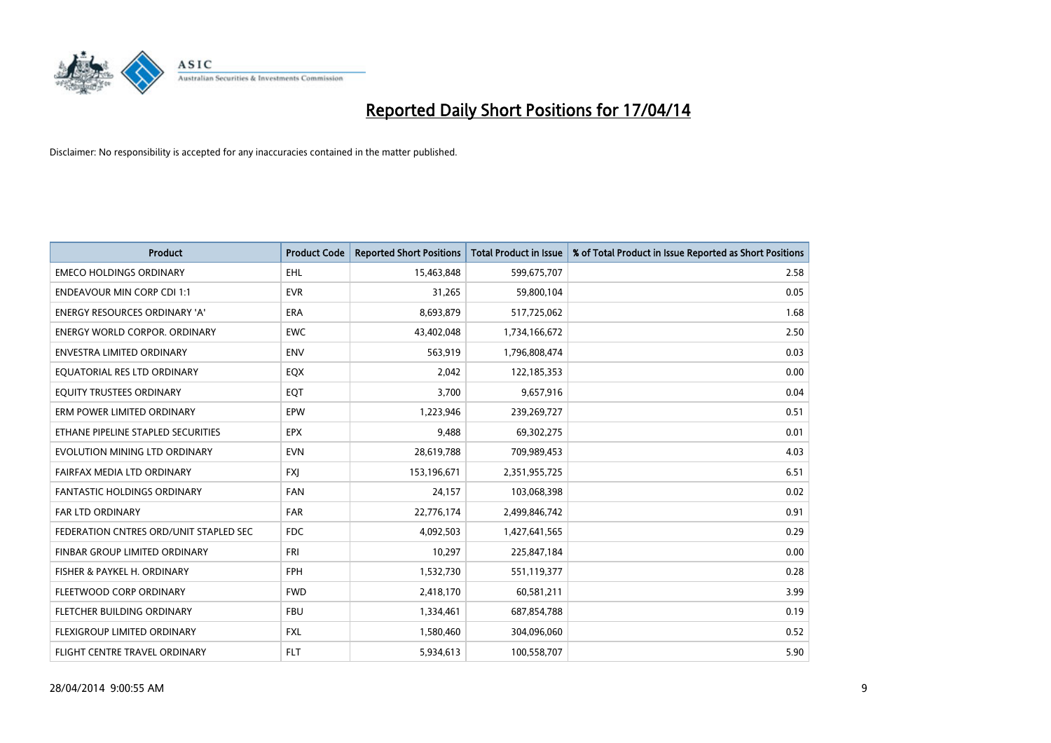

| <b>Product</b>                         | <b>Product Code</b> | <b>Reported Short Positions</b> | <b>Total Product in Issue</b> | % of Total Product in Issue Reported as Short Positions |
|----------------------------------------|---------------------|---------------------------------|-------------------------------|---------------------------------------------------------|
| <b>EMECO HOLDINGS ORDINARY</b>         | <b>EHL</b>          | 15,463,848                      | 599,675,707                   | 2.58                                                    |
| <b>ENDEAVOUR MIN CORP CDI 1:1</b>      | <b>EVR</b>          | 31,265                          | 59,800,104                    | 0.05                                                    |
| <b>ENERGY RESOURCES ORDINARY 'A'</b>   | ERA                 | 8,693,879                       | 517,725,062                   | 1.68                                                    |
| <b>ENERGY WORLD CORPOR, ORDINARY</b>   | <b>EWC</b>          | 43,402,048                      | 1,734,166,672                 | 2.50                                                    |
| <b>ENVESTRA LIMITED ORDINARY</b>       | <b>ENV</b>          | 563,919                         | 1,796,808,474                 | 0.03                                                    |
| EQUATORIAL RES LTD ORDINARY            | EQX                 | 2,042                           | 122,185,353                   | 0.00                                                    |
| EQUITY TRUSTEES ORDINARY               | EQT                 | 3,700                           | 9,657,916                     | 0.04                                                    |
| ERM POWER LIMITED ORDINARY             | EPW                 | 1,223,946                       | 239,269,727                   | 0.51                                                    |
| ETHANE PIPELINE STAPLED SECURITIES     | <b>EPX</b>          | 9,488                           | 69,302,275                    | 0.01                                                    |
| EVOLUTION MINING LTD ORDINARY          | <b>EVN</b>          | 28,619,788                      | 709,989,453                   | 4.03                                                    |
| FAIRFAX MEDIA LTD ORDINARY             | <b>FXJ</b>          | 153,196,671                     | 2,351,955,725                 | 6.51                                                    |
| <b>FANTASTIC HOLDINGS ORDINARY</b>     | FAN                 | 24,157                          | 103,068,398                   | 0.02                                                    |
| FAR LTD ORDINARY                       | <b>FAR</b>          | 22,776,174                      | 2,499,846,742                 | 0.91                                                    |
| FEDERATION CNTRES ORD/UNIT STAPLED SEC | <b>FDC</b>          | 4,092,503                       | 1,427,641,565                 | 0.29                                                    |
| FINBAR GROUP LIMITED ORDINARY          | <b>FRI</b>          | 10,297                          | 225,847,184                   | 0.00                                                    |
| FISHER & PAYKEL H. ORDINARY            | <b>FPH</b>          | 1,532,730                       | 551,119,377                   | 0.28                                                    |
| FLEETWOOD CORP ORDINARY                | <b>FWD</b>          | 2,418,170                       | 60,581,211                    | 3.99                                                    |
| FLETCHER BUILDING ORDINARY             | <b>FBU</b>          | 1,334,461                       | 687,854,788                   | 0.19                                                    |
| FLEXIGROUP LIMITED ORDINARY            | <b>FXL</b>          | 1,580,460                       | 304,096,060                   | 0.52                                                    |
| FLIGHT CENTRE TRAVEL ORDINARY          | FLT                 | 5,934,613                       | 100,558,707                   | 5.90                                                    |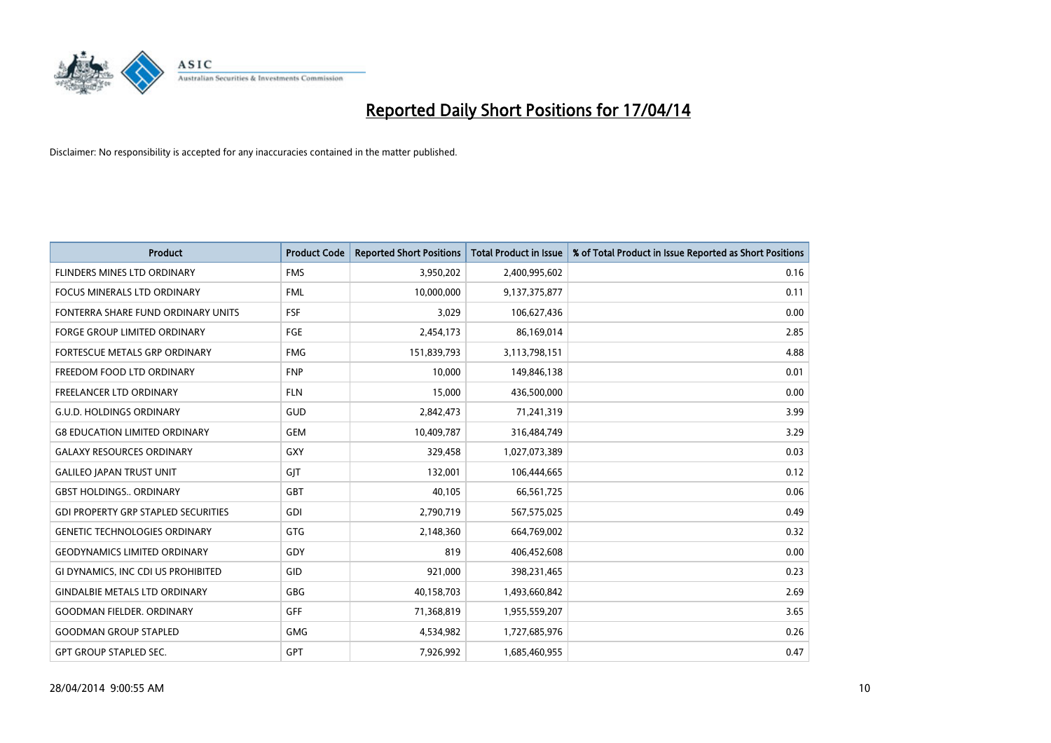

| <b>Product</b>                             | <b>Product Code</b> | <b>Reported Short Positions</b> | <b>Total Product in Issue</b> | % of Total Product in Issue Reported as Short Positions |
|--------------------------------------------|---------------------|---------------------------------|-------------------------------|---------------------------------------------------------|
| FLINDERS MINES LTD ORDINARY                | <b>FMS</b>          | 3,950,202                       | 2,400,995,602                 | 0.16                                                    |
| FOCUS MINERALS LTD ORDINARY                | <b>FML</b>          | 10,000,000                      | 9,137,375,877                 | 0.11                                                    |
| FONTERRA SHARE FUND ORDINARY UNITS         | <b>FSF</b>          | 3,029                           | 106,627,436                   | 0.00                                                    |
| FORGE GROUP LIMITED ORDINARY               | FGE                 | 2,454,173                       | 86,169,014                    | 2.85                                                    |
| <b>FORTESCUE METALS GRP ORDINARY</b>       | <b>FMG</b>          | 151,839,793                     | 3,113,798,151                 | 4.88                                                    |
| FREEDOM FOOD LTD ORDINARY                  | <b>FNP</b>          | 10,000                          | 149,846,138                   | 0.01                                                    |
| <b>FREELANCER LTD ORDINARY</b>             | <b>FLN</b>          | 15,000                          | 436,500,000                   | 0.00                                                    |
| <b>G.U.D. HOLDINGS ORDINARY</b>            | GUD                 | 2,842,473                       | 71,241,319                    | 3.99                                                    |
| <b>G8 EDUCATION LIMITED ORDINARY</b>       | <b>GEM</b>          | 10,409,787                      | 316,484,749                   | 3.29                                                    |
| <b>GALAXY RESOURCES ORDINARY</b>           | GXY                 | 329,458                         | 1,027,073,389                 | 0.03                                                    |
| <b>GALILEO JAPAN TRUST UNIT</b>            | GIT                 | 132,001                         | 106,444,665                   | 0.12                                                    |
| <b>GBST HOLDINGS., ORDINARY</b>            | GBT                 | 40,105                          | 66,561,725                    | 0.06                                                    |
| <b>GDI PROPERTY GRP STAPLED SECURITIES</b> | GDI                 | 2,790,719                       | 567,575,025                   | 0.49                                                    |
| <b>GENETIC TECHNOLOGIES ORDINARY</b>       | GTG                 | 2,148,360                       | 664,769,002                   | 0.32                                                    |
| <b>GEODYNAMICS LIMITED ORDINARY</b>        | GDY                 | 819                             | 406,452,608                   | 0.00                                                    |
| GI DYNAMICS, INC CDI US PROHIBITED         | GID                 | 921,000                         | 398,231,465                   | 0.23                                                    |
| <b>GINDALBIE METALS LTD ORDINARY</b>       | GBG                 | 40,158,703                      | 1,493,660,842                 | 2.69                                                    |
| <b>GOODMAN FIELDER, ORDINARY</b>           | <b>GFF</b>          | 71,368,819                      | 1,955,559,207                 | 3.65                                                    |
| <b>GOODMAN GROUP STAPLED</b>               | <b>GMG</b>          | 4,534,982                       | 1,727,685,976                 | 0.26                                                    |
| <b>GPT GROUP STAPLED SEC.</b>              | <b>GPT</b>          | 7,926,992                       | 1,685,460,955                 | 0.47                                                    |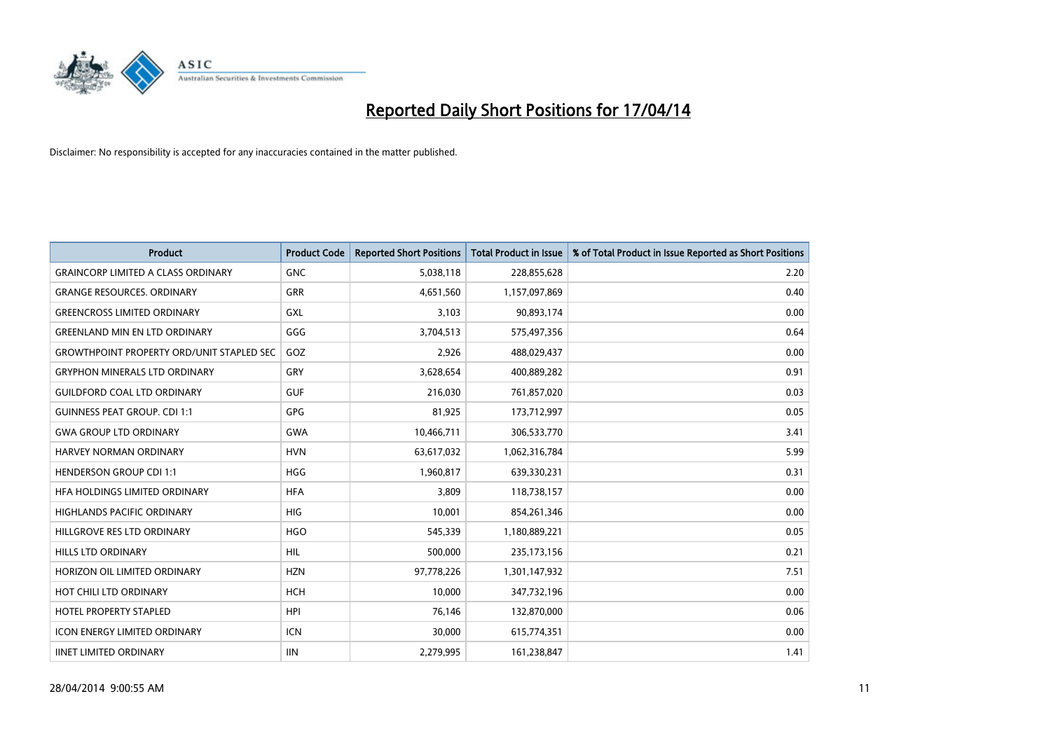

| <b>Product</b>                                   | <b>Product Code</b> | <b>Reported Short Positions</b> | <b>Total Product in Issue</b> | % of Total Product in Issue Reported as Short Positions |
|--------------------------------------------------|---------------------|---------------------------------|-------------------------------|---------------------------------------------------------|
| <b>GRAINCORP LIMITED A CLASS ORDINARY</b>        | <b>GNC</b>          | 5,038,118                       | 228,855,628                   | 2.20                                                    |
| <b>GRANGE RESOURCES, ORDINARY</b>                | GRR                 | 4,651,560                       | 1,157,097,869                 | 0.40                                                    |
| <b>GREENCROSS LIMITED ORDINARY</b>               | <b>GXL</b>          | 3,103                           | 90,893,174                    | 0.00                                                    |
| <b>GREENLAND MIN EN LTD ORDINARY</b>             | GGG                 | 3,704,513                       | 575,497,356                   | 0.64                                                    |
| <b>GROWTHPOINT PROPERTY ORD/UNIT STAPLED SEC</b> | GOZ                 | 2,926                           | 488,029,437                   | 0.00                                                    |
| <b>GRYPHON MINERALS LTD ORDINARY</b>             | GRY                 | 3,628,654                       | 400,889,282                   | 0.91                                                    |
| <b>GUILDFORD COAL LTD ORDINARY</b>               | <b>GUF</b>          | 216,030                         | 761,857,020                   | 0.03                                                    |
| <b>GUINNESS PEAT GROUP. CDI 1:1</b>              | GPG                 | 81,925                          | 173,712,997                   | 0.05                                                    |
| <b>GWA GROUP LTD ORDINARY</b>                    | <b>GWA</b>          | 10,466,711                      | 306,533,770                   | 3.41                                                    |
| <b>HARVEY NORMAN ORDINARY</b>                    | <b>HVN</b>          | 63,617,032                      | 1,062,316,784                 | 5.99                                                    |
| <b>HENDERSON GROUP CDI 1:1</b>                   | <b>HGG</b>          | 1,960,817                       | 639,330,231                   | 0.31                                                    |
| HFA HOLDINGS LIMITED ORDINARY                    | <b>HFA</b>          | 3,809                           | 118,738,157                   | 0.00                                                    |
| <b>HIGHLANDS PACIFIC ORDINARY</b>                | <b>HIG</b>          | 10.001                          | 854,261,346                   | 0.00                                                    |
| HILLGROVE RES LTD ORDINARY                       | <b>HGO</b>          | 545,339                         | 1,180,889,221                 | 0.05                                                    |
| HILLS LTD ORDINARY                               | <b>HIL</b>          | 500,000                         | 235,173,156                   | 0.21                                                    |
| HORIZON OIL LIMITED ORDINARY                     | <b>HZN</b>          | 97,778,226                      | 1,301,147,932                 | 7.51                                                    |
| HOT CHILI LTD ORDINARY                           | <b>HCH</b>          | 10,000                          | 347,732,196                   | 0.00                                                    |
| <b>HOTEL PROPERTY STAPLED</b>                    | <b>HPI</b>          | 76,146                          | 132,870,000                   | 0.06                                                    |
| <b>ICON ENERGY LIMITED ORDINARY</b>              | <b>ICN</b>          | 30,000                          | 615,774,351                   | 0.00                                                    |
| <b>IINET LIMITED ORDINARY</b>                    | <b>IIN</b>          | 2,279,995                       | 161,238,847                   | 1.41                                                    |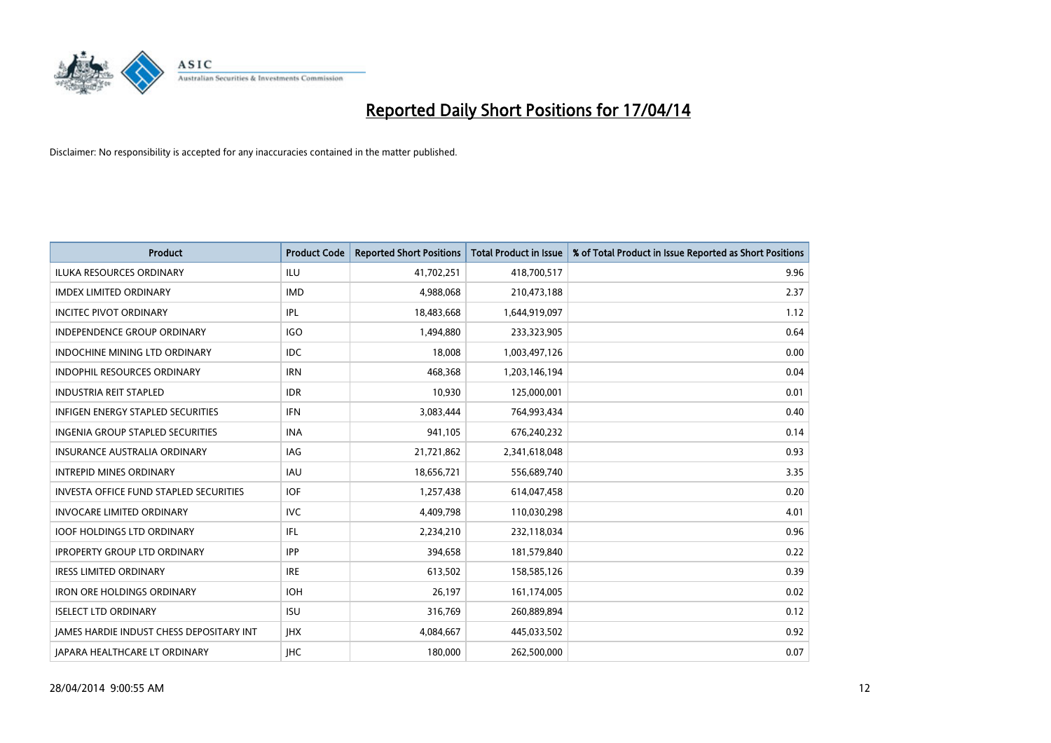

| <b>Product</b>                                  | <b>Product Code</b> | <b>Reported Short Positions</b> | <b>Total Product in Issue</b> | % of Total Product in Issue Reported as Short Positions |
|-------------------------------------------------|---------------------|---------------------------------|-------------------------------|---------------------------------------------------------|
| <b>ILUKA RESOURCES ORDINARY</b>                 | ILU                 | 41,702,251                      | 418,700,517                   | 9.96                                                    |
| <b>IMDEX LIMITED ORDINARY</b>                   | <b>IMD</b>          | 4,988,068                       | 210,473,188                   | 2.37                                                    |
| <b>INCITEC PIVOT ORDINARY</b>                   | IPL                 | 18,483,668                      | 1,644,919,097                 | 1.12                                                    |
| INDEPENDENCE GROUP ORDINARY                     | <b>IGO</b>          | 1,494,880                       | 233,323,905                   | 0.64                                                    |
| <b>INDOCHINE MINING LTD ORDINARY</b>            | <b>IDC</b>          | 18,008                          | 1,003,497,126                 | 0.00                                                    |
| <b>INDOPHIL RESOURCES ORDINARY</b>              | <b>IRN</b>          | 468,368                         | 1,203,146,194                 | 0.04                                                    |
| <b>INDUSTRIA REIT STAPLED</b>                   | <b>IDR</b>          | 10,930                          | 125,000,001                   | 0.01                                                    |
| <b>INFIGEN ENERGY STAPLED SECURITIES</b>        | <b>IFN</b>          | 3,083,444                       | 764,993,434                   | 0.40                                                    |
| INGENIA GROUP STAPLED SECURITIES                | <b>INA</b>          | 941,105                         | 676,240,232                   | 0.14                                                    |
| INSURANCE AUSTRALIA ORDINARY                    | IAG                 | 21,721,862                      | 2,341,618,048                 | 0.93                                                    |
| <b>INTREPID MINES ORDINARY</b>                  | <b>IAU</b>          | 18,656,721                      | 556,689,740                   | 3.35                                                    |
| <b>INVESTA OFFICE FUND STAPLED SECURITIES</b>   | <b>IOF</b>          | 1,257,438                       | 614,047,458                   | 0.20                                                    |
| <b>INVOCARE LIMITED ORDINARY</b>                | <b>IVC</b>          | 4,409,798                       | 110,030,298                   | 4.01                                                    |
| <b>IOOF HOLDINGS LTD ORDINARY</b>               | IFL                 | 2,234,210                       | 232,118,034                   | 0.96                                                    |
| <b>IPROPERTY GROUP LTD ORDINARY</b>             | <b>IPP</b>          | 394,658                         | 181,579,840                   | 0.22                                                    |
| <b>IRESS LIMITED ORDINARY</b>                   | <b>IRE</b>          | 613,502                         | 158,585,126                   | 0.39                                                    |
| <b>IRON ORE HOLDINGS ORDINARY</b>               | <b>IOH</b>          | 26,197                          | 161,174,005                   | 0.02                                                    |
| <b>ISELECT LTD ORDINARY</b>                     | <b>ISU</b>          | 316,769                         | 260,889,894                   | 0.12                                                    |
| <b>IAMES HARDIE INDUST CHESS DEPOSITARY INT</b> | <b>IHX</b>          | 4,084,667                       | 445,033,502                   | 0.92                                                    |
| JAPARA HEALTHCARE LT ORDINARY                   | <b>IHC</b>          | 180,000                         | 262,500,000                   | 0.07                                                    |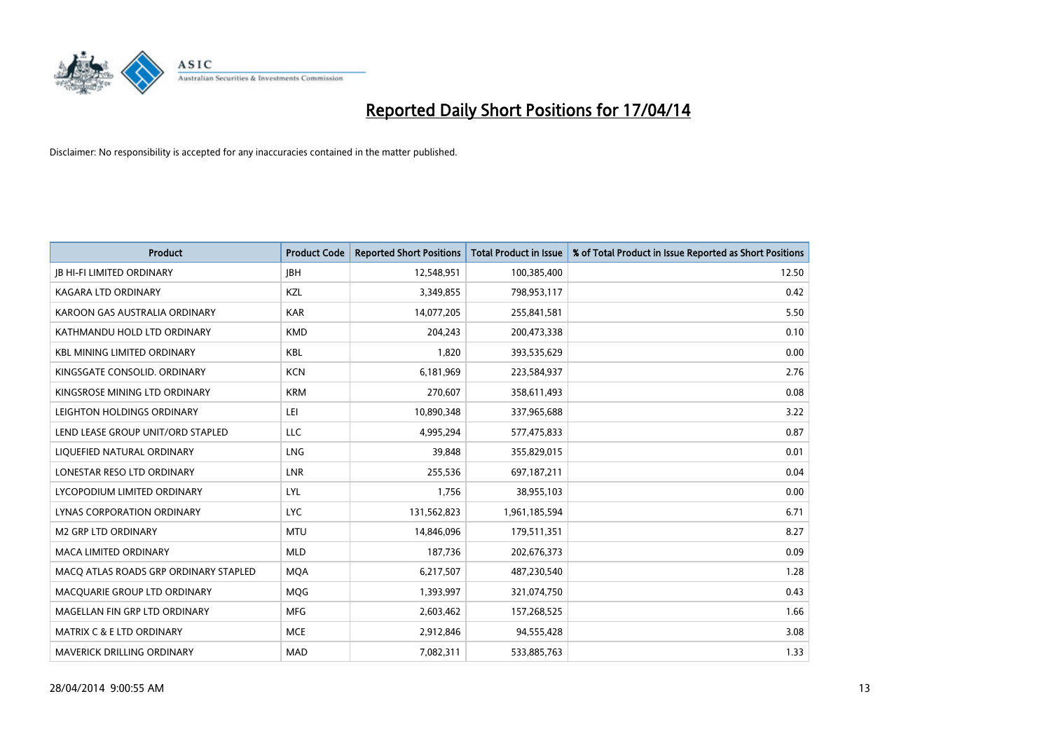

| <b>Product</b>                        | <b>Product Code</b> | <b>Reported Short Positions</b> | <b>Total Product in Issue</b> | % of Total Product in Issue Reported as Short Positions |
|---------------------------------------|---------------------|---------------------------------|-------------------------------|---------------------------------------------------------|
| <b>JB HI-FI LIMITED ORDINARY</b>      | <b>IBH</b>          | 12,548,951                      | 100,385,400                   | 12.50                                                   |
| KAGARA LTD ORDINARY                   | KZL                 | 3,349,855                       | 798,953,117                   | 0.42                                                    |
| KAROON GAS AUSTRALIA ORDINARY         | <b>KAR</b>          | 14,077,205                      | 255,841,581                   | 5.50                                                    |
| KATHMANDU HOLD LTD ORDINARY           | <b>KMD</b>          | 204,243                         | 200,473,338                   | 0.10                                                    |
| <b>KBL MINING LIMITED ORDINARY</b>    | <b>KBL</b>          | 1,820                           | 393,535,629                   | 0.00                                                    |
| KINGSGATE CONSOLID. ORDINARY          | <b>KCN</b>          | 6,181,969                       | 223,584,937                   | 2.76                                                    |
| KINGSROSE MINING LTD ORDINARY         | <b>KRM</b>          | 270,607                         | 358,611,493                   | 0.08                                                    |
| LEIGHTON HOLDINGS ORDINARY            | LEI                 | 10,890,348                      | 337,965,688                   | 3.22                                                    |
| LEND LEASE GROUP UNIT/ORD STAPLED     | <b>LLC</b>          | 4,995,294                       | 577,475,833                   | 0.87                                                    |
| LIQUEFIED NATURAL ORDINARY            | <b>LNG</b>          | 39,848                          | 355,829,015                   | 0.01                                                    |
| LONESTAR RESO LTD ORDINARY            | LNR                 | 255,536                         | 697,187,211                   | 0.04                                                    |
| LYCOPODIUM LIMITED ORDINARY           | <b>LYL</b>          | 1,756                           | 38,955,103                    | 0.00                                                    |
| LYNAS CORPORATION ORDINARY            | <b>LYC</b>          | 131,562,823                     | 1,961,185,594                 | 6.71                                                    |
| <b>M2 GRP LTD ORDINARY</b>            | <b>MTU</b>          | 14,846,096                      | 179,511,351                   | 8.27                                                    |
| <b>MACA LIMITED ORDINARY</b>          | <b>MLD</b>          | 187,736                         | 202,676,373                   | 0.09                                                    |
| MACO ATLAS ROADS GRP ORDINARY STAPLED | <b>MOA</b>          | 6,217,507                       | 487,230,540                   | 1.28                                                    |
| MACQUARIE GROUP LTD ORDINARY          | <b>MQG</b>          | 1,393,997                       | 321,074,750                   | 0.43                                                    |
| MAGELLAN FIN GRP LTD ORDINARY         | <b>MFG</b>          | 2,603,462                       | 157,268,525                   | 1.66                                                    |
| MATRIX C & E LTD ORDINARY             | <b>MCE</b>          | 2,912,846                       | 94,555,428                    | 3.08                                                    |
| MAVERICK DRILLING ORDINARY            | <b>MAD</b>          | 7,082,311                       | 533,885,763                   | 1.33                                                    |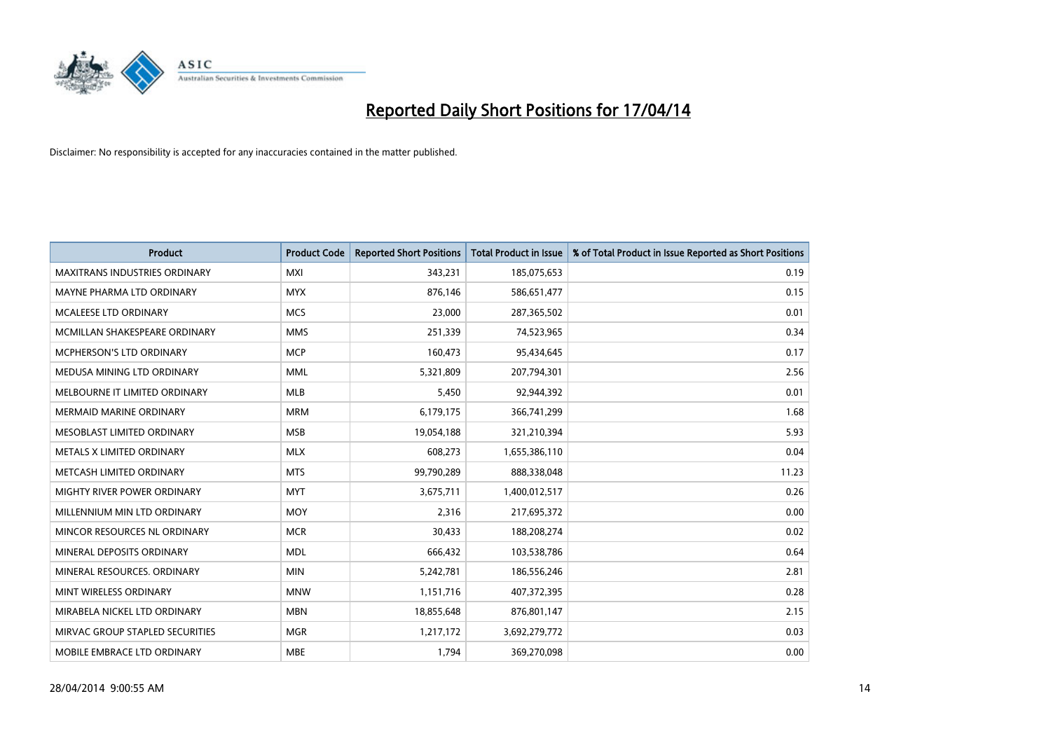

| <b>Product</b>                       | <b>Product Code</b> | <b>Reported Short Positions</b> | <b>Total Product in Issue</b> | % of Total Product in Issue Reported as Short Positions |
|--------------------------------------|---------------------|---------------------------------|-------------------------------|---------------------------------------------------------|
| <b>MAXITRANS INDUSTRIES ORDINARY</b> | <b>MXI</b>          | 343,231                         | 185,075,653                   | 0.19                                                    |
| MAYNE PHARMA LTD ORDINARY            | <b>MYX</b>          | 876,146                         | 586,651,477                   | 0.15                                                    |
| MCALEESE LTD ORDINARY                | <b>MCS</b>          | 23,000                          | 287,365,502                   | 0.01                                                    |
| MCMILLAN SHAKESPEARE ORDINARY        | <b>MMS</b>          | 251,339                         | 74,523,965                    | 0.34                                                    |
| <b>MCPHERSON'S LTD ORDINARY</b>      | <b>MCP</b>          | 160,473                         | 95,434,645                    | 0.17                                                    |
| MEDUSA MINING LTD ORDINARY           | <b>MML</b>          | 5,321,809                       | 207,794,301                   | 2.56                                                    |
| MELBOURNE IT LIMITED ORDINARY        | <b>MLB</b>          | 5,450                           | 92,944,392                    | 0.01                                                    |
| <b>MERMAID MARINE ORDINARY</b>       | <b>MRM</b>          | 6,179,175                       | 366,741,299                   | 1.68                                                    |
| MESOBLAST LIMITED ORDINARY           | <b>MSB</b>          | 19,054,188                      | 321,210,394                   | 5.93                                                    |
| METALS X LIMITED ORDINARY            | <b>MLX</b>          | 608,273                         | 1,655,386,110                 | 0.04                                                    |
| METCASH LIMITED ORDINARY             | <b>MTS</b>          | 99,790,289                      | 888,338,048                   | 11.23                                                   |
| MIGHTY RIVER POWER ORDINARY          | <b>MYT</b>          | 3,675,711                       | 1,400,012,517                 | 0.26                                                    |
| MILLENNIUM MIN LTD ORDINARY          | <b>MOY</b>          | 2,316                           | 217,695,372                   | 0.00                                                    |
| MINCOR RESOURCES NL ORDINARY         | <b>MCR</b>          | 30,433                          | 188,208,274                   | 0.02                                                    |
| MINERAL DEPOSITS ORDINARY            | <b>MDL</b>          | 666,432                         | 103,538,786                   | 0.64                                                    |
| MINERAL RESOURCES. ORDINARY          | <b>MIN</b>          | 5,242,781                       | 186,556,246                   | 2.81                                                    |
| MINT WIRELESS ORDINARY               | <b>MNW</b>          | 1,151,716                       | 407,372,395                   | 0.28                                                    |
| MIRABELA NICKEL LTD ORDINARY         | <b>MBN</b>          | 18,855,648                      | 876,801,147                   | 2.15                                                    |
| MIRVAC GROUP STAPLED SECURITIES      | <b>MGR</b>          | 1,217,172                       | 3,692,279,772                 | 0.03                                                    |
| MOBILE EMBRACE LTD ORDINARY          | <b>MBE</b>          | 1,794                           | 369,270,098                   | 0.00                                                    |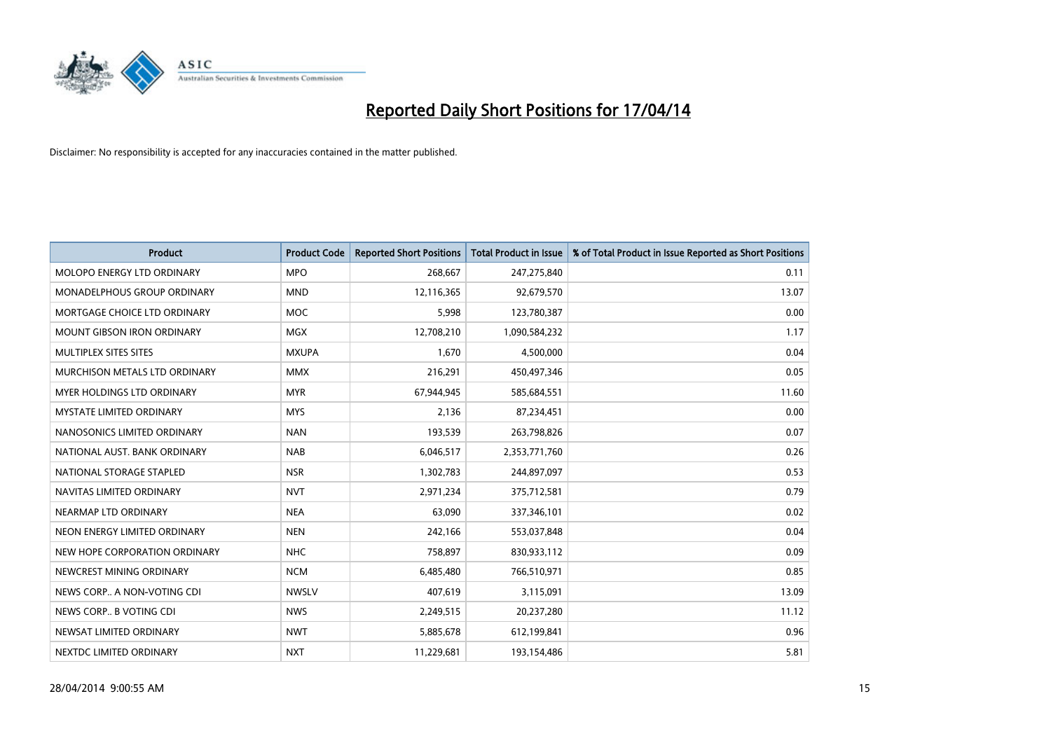

| <b>Product</b>                | <b>Product Code</b> | <b>Reported Short Positions</b> | <b>Total Product in Issue</b> | % of Total Product in Issue Reported as Short Positions |
|-------------------------------|---------------------|---------------------------------|-------------------------------|---------------------------------------------------------|
| MOLOPO ENERGY LTD ORDINARY    | <b>MPO</b>          | 268,667                         | 247,275,840                   | 0.11                                                    |
| MONADELPHOUS GROUP ORDINARY   | <b>MND</b>          | 12,116,365                      | 92,679,570                    | 13.07                                                   |
| MORTGAGE CHOICE LTD ORDINARY  | <b>MOC</b>          | 5,998                           | 123,780,387                   | 0.00                                                    |
| MOUNT GIBSON IRON ORDINARY    | <b>MGX</b>          | 12,708,210                      | 1,090,584,232                 | 1.17                                                    |
| MULTIPLEX SITES SITES         | <b>MXUPA</b>        | 1,670                           | 4,500,000                     | 0.04                                                    |
| MURCHISON METALS LTD ORDINARY | <b>MMX</b>          | 216,291                         | 450,497,346                   | 0.05                                                    |
| MYER HOLDINGS LTD ORDINARY    | <b>MYR</b>          | 67,944,945                      | 585,684,551                   | 11.60                                                   |
| MYSTATE LIMITED ORDINARY      | <b>MYS</b>          | 2,136                           | 87,234,451                    | 0.00                                                    |
| NANOSONICS LIMITED ORDINARY   | <b>NAN</b>          | 193,539                         | 263,798,826                   | 0.07                                                    |
| NATIONAL AUST, BANK ORDINARY  | <b>NAB</b>          | 6,046,517                       | 2,353,771,760                 | 0.26                                                    |
| NATIONAL STORAGE STAPLED      | <b>NSR</b>          | 1,302,783                       | 244,897,097                   | 0.53                                                    |
| NAVITAS LIMITED ORDINARY      | <b>NVT</b>          | 2,971,234                       | 375,712,581                   | 0.79                                                    |
| NEARMAP LTD ORDINARY          | <b>NEA</b>          | 63,090                          | 337,346,101                   | 0.02                                                    |
| NEON ENERGY LIMITED ORDINARY  | <b>NEN</b>          | 242,166                         | 553,037,848                   | 0.04                                                    |
| NEW HOPE CORPORATION ORDINARY | <b>NHC</b>          | 758,897                         | 830,933,112                   | 0.09                                                    |
| NEWCREST MINING ORDINARY      | <b>NCM</b>          | 6,485,480                       | 766,510,971                   | 0.85                                                    |
| NEWS CORP A NON-VOTING CDI    | <b>NWSLV</b>        | 407,619                         | 3,115,091                     | 13.09                                                   |
| NEWS CORP B VOTING CDI        | <b>NWS</b>          | 2,249,515                       | 20,237,280                    | 11.12                                                   |
| NEWSAT LIMITED ORDINARY       | <b>NWT</b>          | 5,885,678                       | 612,199,841                   | 0.96                                                    |
| NEXTDC LIMITED ORDINARY       | <b>NXT</b>          | 11,229,681                      | 193,154,486                   | 5.81                                                    |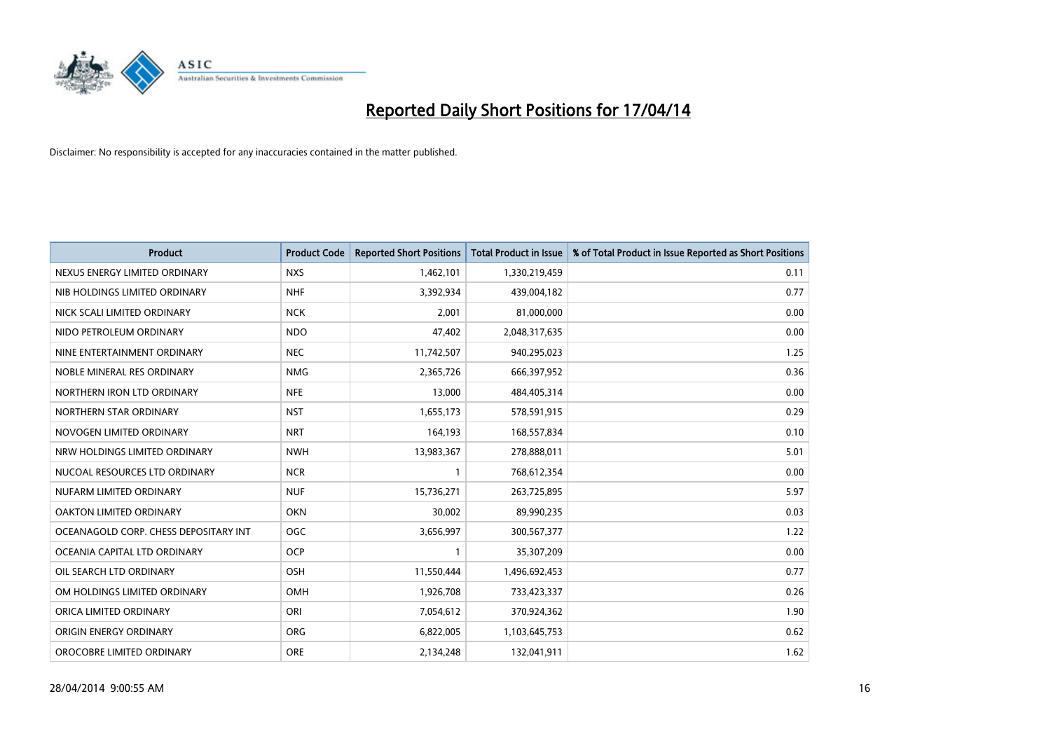

| <b>Product</b>                        | <b>Product Code</b> | <b>Reported Short Positions</b> | <b>Total Product in Issue</b> | % of Total Product in Issue Reported as Short Positions |
|---------------------------------------|---------------------|---------------------------------|-------------------------------|---------------------------------------------------------|
| NEXUS ENERGY LIMITED ORDINARY         | <b>NXS</b>          | 1,462,101                       | 1,330,219,459                 | 0.11                                                    |
| NIB HOLDINGS LIMITED ORDINARY         | <b>NHF</b>          | 3,392,934                       | 439,004,182                   | 0.77                                                    |
| NICK SCALI LIMITED ORDINARY           | <b>NCK</b>          | 2,001                           | 81,000,000                    | 0.00                                                    |
| NIDO PETROLEUM ORDINARY               | <b>NDO</b>          | 47,402                          | 2,048,317,635                 | 0.00                                                    |
| NINE ENTERTAINMENT ORDINARY           | <b>NEC</b>          | 11,742,507                      | 940,295,023                   | 1.25                                                    |
| NOBLE MINERAL RES ORDINARY            | <b>NMG</b>          | 2,365,726                       | 666,397,952                   | 0.36                                                    |
| NORTHERN IRON LTD ORDINARY            | <b>NFE</b>          | 13,000                          | 484,405,314                   | 0.00                                                    |
| NORTHERN STAR ORDINARY                | <b>NST</b>          | 1,655,173                       | 578,591,915                   | 0.29                                                    |
| NOVOGEN LIMITED ORDINARY              | <b>NRT</b>          | 164,193                         | 168,557,834                   | 0.10                                                    |
| NRW HOLDINGS LIMITED ORDINARY         | <b>NWH</b>          | 13,983,367                      | 278,888,011                   | 5.01                                                    |
| NUCOAL RESOURCES LTD ORDINARY         | <b>NCR</b>          | 1                               | 768,612,354                   | 0.00                                                    |
| NUFARM LIMITED ORDINARY               | <b>NUF</b>          | 15,736,271                      | 263,725,895                   | 5.97                                                    |
| OAKTON LIMITED ORDINARY               | <b>OKN</b>          | 30,002                          | 89,990,235                    | 0.03                                                    |
| OCEANAGOLD CORP. CHESS DEPOSITARY INT | <b>OGC</b>          | 3,656,997                       | 300,567,377                   | 1.22                                                    |
| OCEANIA CAPITAL LTD ORDINARY          | <b>OCP</b>          | $\mathbf{1}$                    | 35,307,209                    | 0.00                                                    |
| OIL SEARCH LTD ORDINARY               | OSH                 | 11,550,444                      | 1,496,692,453                 | 0.77                                                    |
| OM HOLDINGS LIMITED ORDINARY          | OMH                 | 1,926,708                       | 733,423,337                   | 0.26                                                    |
| ORICA LIMITED ORDINARY                | ORI                 | 7,054,612                       | 370,924,362                   | 1.90                                                    |
| ORIGIN ENERGY ORDINARY                | <b>ORG</b>          | 6,822,005                       | 1,103,645,753                 | 0.62                                                    |
| OROCOBRE LIMITED ORDINARY             | <b>ORE</b>          | 2,134,248                       | 132,041,911                   | 1.62                                                    |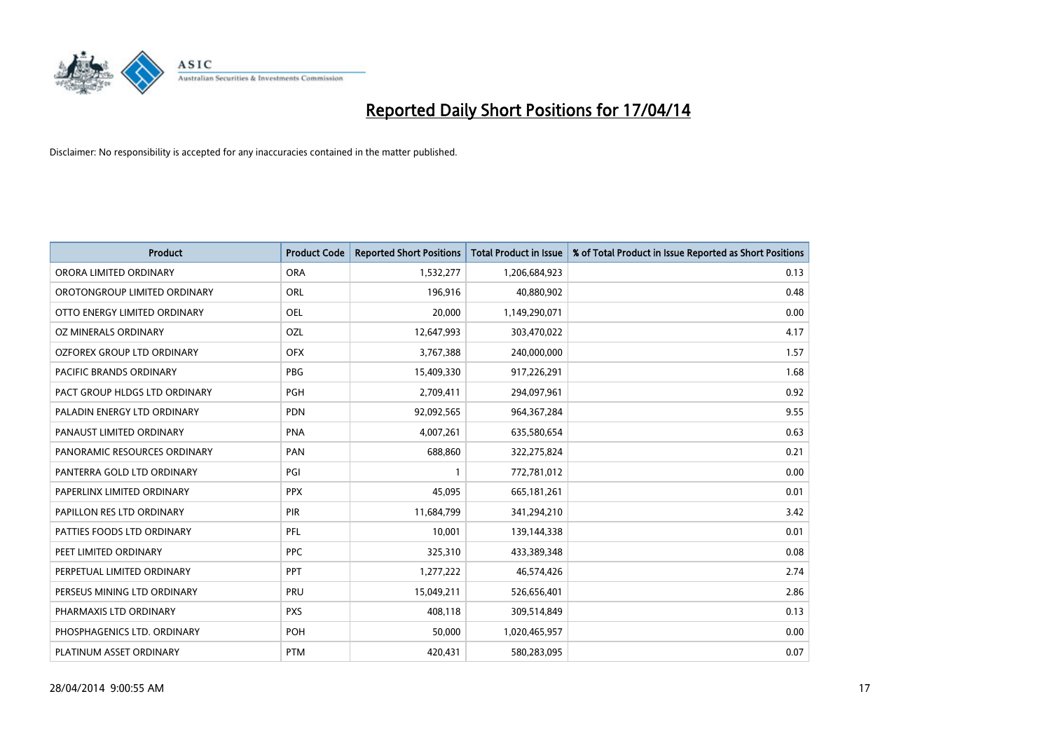

| <b>Product</b>                    | <b>Product Code</b> | <b>Reported Short Positions</b> | <b>Total Product in Issue</b> | % of Total Product in Issue Reported as Short Positions |
|-----------------------------------|---------------------|---------------------------------|-------------------------------|---------------------------------------------------------|
| ORORA LIMITED ORDINARY            | <b>ORA</b>          | 1,532,277                       | 1,206,684,923                 | 0.13                                                    |
| OROTONGROUP LIMITED ORDINARY      | ORL                 | 196,916                         | 40,880,902                    | 0.48                                                    |
| OTTO ENERGY LIMITED ORDINARY      | <b>OEL</b>          | 20,000                          | 1,149,290,071                 | 0.00                                                    |
| OZ MINERALS ORDINARY              | OZL                 | 12,647,993                      | 303,470,022                   | 4.17                                                    |
| <b>OZFOREX GROUP LTD ORDINARY</b> | <b>OFX</b>          | 3,767,388                       | 240,000,000                   | 1.57                                                    |
| PACIFIC BRANDS ORDINARY           | <b>PBG</b>          | 15,409,330                      | 917,226,291                   | 1.68                                                    |
| PACT GROUP HLDGS LTD ORDINARY     | <b>PGH</b>          | 2,709,411                       | 294,097,961                   | 0.92                                                    |
| PALADIN ENERGY LTD ORDINARY       | <b>PDN</b>          | 92,092,565                      | 964, 367, 284                 | 9.55                                                    |
| PANAUST LIMITED ORDINARY          | <b>PNA</b>          | 4,007,261                       | 635,580,654                   | 0.63                                                    |
| PANORAMIC RESOURCES ORDINARY      | PAN                 | 688,860                         | 322,275,824                   | 0.21                                                    |
| PANTERRA GOLD LTD ORDINARY        | PGI                 |                                 | 772,781,012                   | 0.00                                                    |
| PAPERLINX LIMITED ORDINARY        | <b>PPX</b>          | 45,095                          | 665, 181, 261                 | 0.01                                                    |
| PAPILLON RES LTD ORDINARY         | PIR                 | 11,684,799                      | 341,294,210                   | 3.42                                                    |
| PATTIES FOODS LTD ORDINARY        | PFL                 | 10,001                          | 139,144,338                   | 0.01                                                    |
| PEET LIMITED ORDINARY             | <b>PPC</b>          | 325,310                         | 433,389,348                   | 0.08                                                    |
| PERPETUAL LIMITED ORDINARY        | PPT                 | 1,277,222                       | 46,574,426                    | 2.74                                                    |
| PERSEUS MINING LTD ORDINARY       | PRU                 | 15,049,211                      | 526,656,401                   | 2.86                                                    |
| PHARMAXIS LTD ORDINARY            | <b>PXS</b>          | 408,118                         | 309,514,849                   | 0.13                                                    |
| PHOSPHAGENICS LTD. ORDINARY       | <b>POH</b>          | 50,000                          | 1,020,465,957                 | 0.00                                                    |
| PLATINUM ASSET ORDINARY           | <b>PTM</b>          | 420,431                         | 580,283,095                   | 0.07                                                    |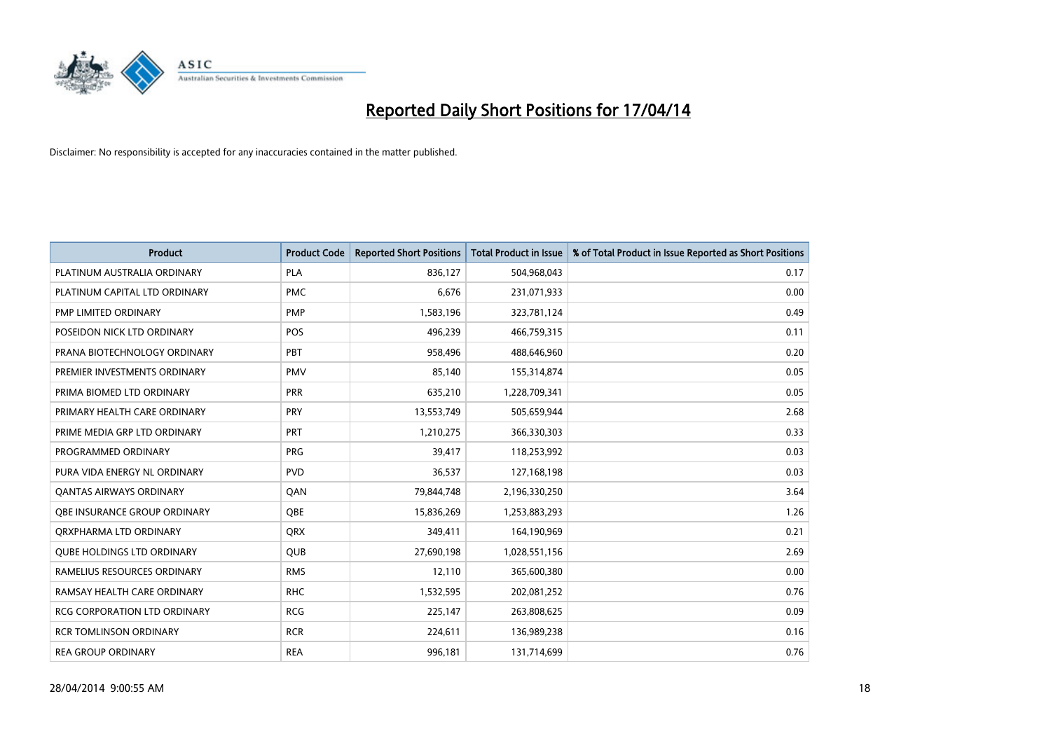

| <b>Product</b>                    | <b>Product Code</b> | <b>Reported Short Positions</b> | <b>Total Product in Issue</b> | % of Total Product in Issue Reported as Short Positions |
|-----------------------------------|---------------------|---------------------------------|-------------------------------|---------------------------------------------------------|
| PLATINUM AUSTRALIA ORDINARY       | <b>PLA</b>          | 836,127                         | 504,968,043                   | 0.17                                                    |
| PLATINUM CAPITAL LTD ORDINARY     | <b>PMC</b>          | 6,676                           | 231,071,933                   | 0.00                                                    |
| PMP LIMITED ORDINARY              | <b>PMP</b>          | 1,583,196                       | 323,781,124                   | 0.49                                                    |
| POSEIDON NICK LTD ORDINARY        | <b>POS</b>          | 496,239                         | 466,759,315                   | 0.11                                                    |
| PRANA BIOTECHNOLOGY ORDINARY      | PBT                 | 958,496                         | 488,646,960                   | 0.20                                                    |
| PREMIER INVESTMENTS ORDINARY      | <b>PMV</b>          | 85,140                          | 155,314,874                   | 0.05                                                    |
| PRIMA BIOMED LTD ORDINARY         | <b>PRR</b>          | 635,210                         | 1,228,709,341                 | 0.05                                                    |
| PRIMARY HEALTH CARE ORDINARY      | <b>PRY</b>          | 13,553,749                      | 505,659,944                   | 2.68                                                    |
| PRIME MEDIA GRP LTD ORDINARY      | <b>PRT</b>          | 1,210,275                       | 366,330,303                   | 0.33                                                    |
| PROGRAMMED ORDINARY               | <b>PRG</b>          | 39,417                          | 118,253,992                   | 0.03                                                    |
| PURA VIDA ENERGY NL ORDINARY      | <b>PVD</b>          | 36,537                          | 127,168,198                   | 0.03                                                    |
| <b>QANTAS AIRWAYS ORDINARY</b>    | QAN                 | 79,844,748                      | 2,196,330,250                 | 3.64                                                    |
| OBE INSURANCE GROUP ORDINARY      | <b>OBE</b>          | 15,836,269                      | 1,253,883,293                 | 1.26                                                    |
| ORXPHARMA LTD ORDINARY            | <b>QRX</b>          | 349,411                         | 164,190,969                   | 0.21                                                    |
| <b>QUBE HOLDINGS LTD ORDINARY</b> | <b>QUB</b>          | 27,690,198                      | 1,028,551,156                 | 2.69                                                    |
| RAMELIUS RESOURCES ORDINARY       | <b>RMS</b>          | 12,110                          | 365,600,380                   | 0.00                                                    |
| RAMSAY HEALTH CARE ORDINARY       | <b>RHC</b>          | 1,532,595                       | 202,081,252                   | 0.76                                                    |
| RCG CORPORATION LTD ORDINARY      | <b>RCG</b>          | 225,147                         | 263,808,625                   | 0.09                                                    |
| <b>RCR TOMLINSON ORDINARY</b>     | <b>RCR</b>          | 224,611                         | 136,989,238                   | 0.16                                                    |
| <b>REA GROUP ORDINARY</b>         | <b>REA</b>          | 996,181                         | 131,714,699                   | 0.76                                                    |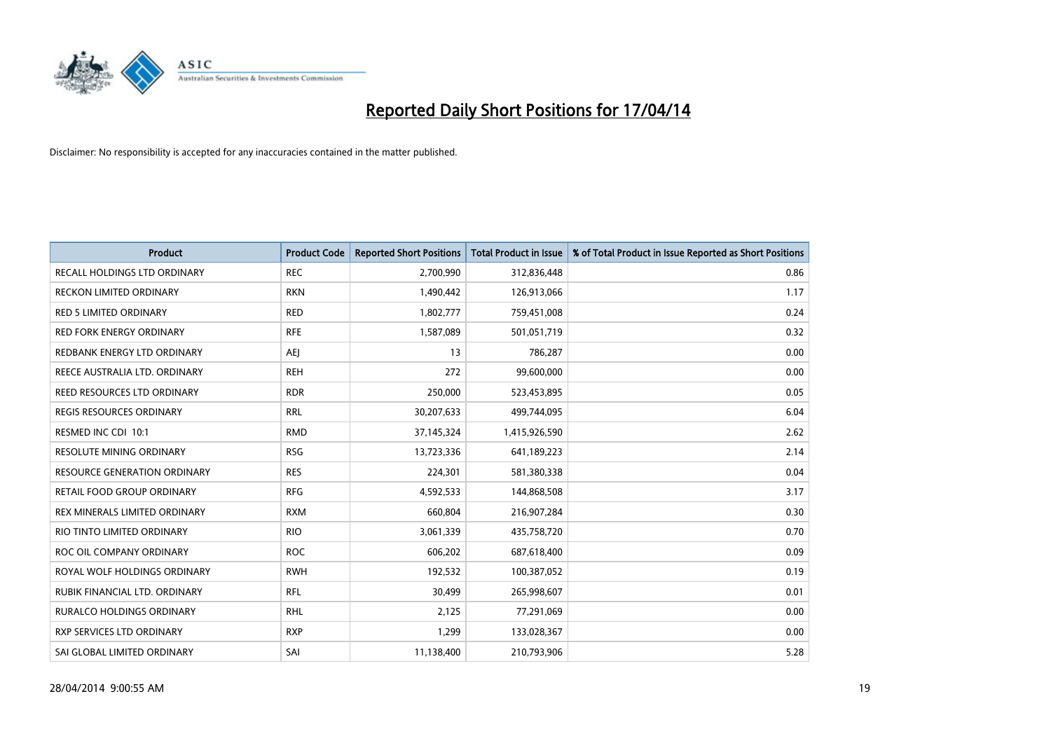

| <b>Product</b>                   | <b>Product Code</b> | <b>Reported Short Positions</b> | <b>Total Product in Issue</b> | % of Total Product in Issue Reported as Short Positions |
|----------------------------------|---------------------|---------------------------------|-------------------------------|---------------------------------------------------------|
| RECALL HOLDINGS LTD ORDINARY     | <b>REC</b>          | 2,700,990                       | 312,836,448                   | 0.86                                                    |
| RECKON LIMITED ORDINARY          | <b>RKN</b>          | 1,490,442                       | 126,913,066                   | 1.17                                                    |
| <b>RED 5 LIMITED ORDINARY</b>    | <b>RED</b>          | 1,802,777                       | 759,451,008                   | 0.24                                                    |
| <b>RED FORK ENERGY ORDINARY</b>  | <b>RFE</b>          | 1,587,089                       | 501,051,719                   | 0.32                                                    |
| REDBANK ENERGY LTD ORDINARY      | <b>AEI</b>          | 13                              | 786,287                       | 0.00                                                    |
| REECE AUSTRALIA LTD. ORDINARY    | <b>REH</b>          | 272                             | 99,600,000                    | 0.00                                                    |
| REED RESOURCES LTD ORDINARY      | <b>RDR</b>          | 250,000                         | 523,453,895                   | 0.05                                                    |
| REGIS RESOURCES ORDINARY         | <b>RRL</b>          | 30,207,633                      | 499,744,095                   | 6.04                                                    |
| RESMED INC CDI 10:1              | <b>RMD</b>          | 37,145,324                      | 1,415,926,590                 | 2.62                                                    |
| <b>RESOLUTE MINING ORDINARY</b>  | <b>RSG</b>          | 13,723,336                      | 641,189,223                   | 2.14                                                    |
| RESOURCE GENERATION ORDINARY     | <b>RES</b>          | 224,301                         | 581,380,338                   | 0.04                                                    |
| RETAIL FOOD GROUP ORDINARY       | <b>RFG</b>          | 4,592,533                       | 144,868,508                   | 3.17                                                    |
| REX MINERALS LIMITED ORDINARY    | <b>RXM</b>          | 660,804                         | 216,907,284                   | 0.30                                                    |
| RIO TINTO LIMITED ORDINARY       | <b>RIO</b>          | 3,061,339                       | 435,758,720                   | 0.70                                                    |
| ROC OIL COMPANY ORDINARY         | <b>ROC</b>          | 606,202                         | 687,618,400                   | 0.09                                                    |
| ROYAL WOLF HOLDINGS ORDINARY     | <b>RWH</b>          | 192,532                         | 100,387,052                   | 0.19                                                    |
| RUBIK FINANCIAL LTD. ORDINARY    | <b>RFL</b>          | 30,499                          | 265,998,607                   | 0.01                                                    |
| RURALCO HOLDINGS ORDINARY        | <b>RHL</b>          | 2,125                           | 77,291,069                    | 0.00                                                    |
| <b>RXP SERVICES LTD ORDINARY</b> | <b>RXP</b>          | 1,299                           | 133,028,367                   | 0.00                                                    |
| SAI GLOBAL LIMITED ORDINARY      | SAI                 | 11,138,400                      | 210,793,906                   | 5.28                                                    |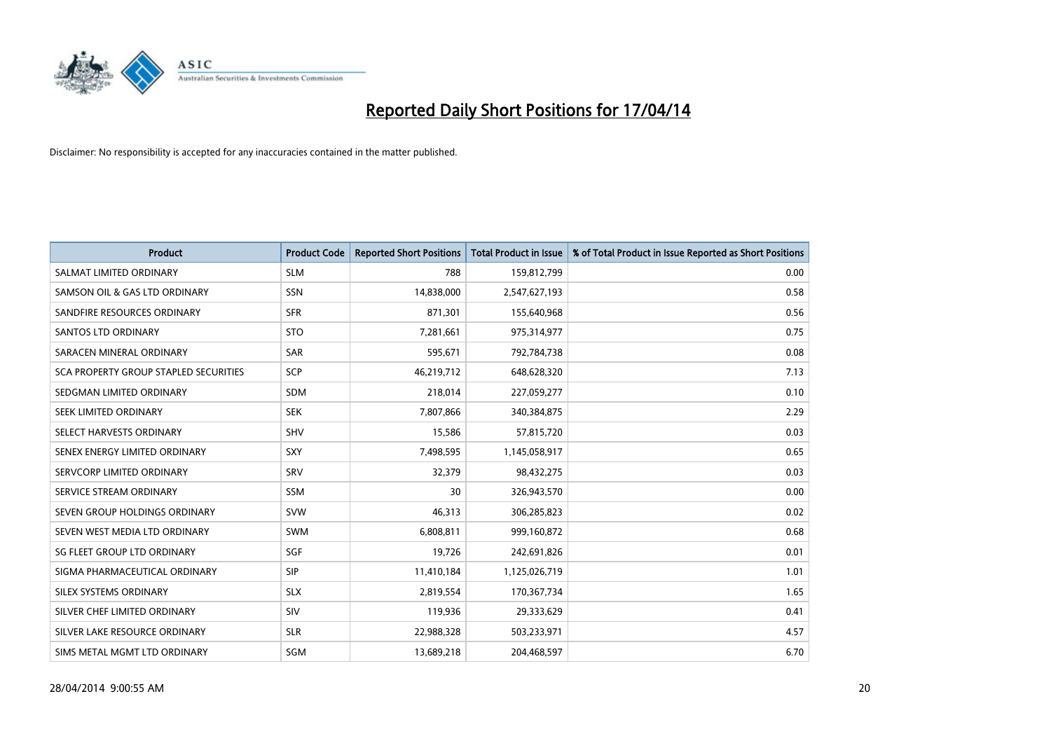

| <b>Product</b>                        | <b>Product Code</b> | <b>Reported Short Positions</b> | <b>Total Product in Issue</b> | % of Total Product in Issue Reported as Short Positions |
|---------------------------------------|---------------------|---------------------------------|-------------------------------|---------------------------------------------------------|
| SALMAT LIMITED ORDINARY               | <b>SLM</b>          | 788                             | 159,812,799                   | 0.00                                                    |
| SAMSON OIL & GAS LTD ORDINARY         | SSN                 | 14,838,000                      | 2,547,627,193                 | 0.58                                                    |
| SANDFIRE RESOURCES ORDINARY           | <b>SFR</b>          | 871,301                         | 155,640,968                   | 0.56                                                    |
| SANTOS LTD ORDINARY                   | <b>STO</b>          | 7,281,661                       | 975,314,977                   | 0.75                                                    |
| SARACEN MINERAL ORDINARY              | <b>SAR</b>          | 595,671                         | 792,784,738                   | 0.08                                                    |
| SCA PROPERTY GROUP STAPLED SECURITIES | SCP                 | 46,219,712                      | 648,628,320                   | 7.13                                                    |
| SEDGMAN LIMITED ORDINARY              | <b>SDM</b>          | 218,014                         | 227,059,277                   | 0.10                                                    |
| SEEK LIMITED ORDINARY                 | <b>SEK</b>          | 7,807,866                       | 340,384,875                   | 2.29                                                    |
| SELECT HARVESTS ORDINARY              | <b>SHV</b>          | 15,586                          | 57,815,720                    | 0.03                                                    |
| SENEX ENERGY LIMITED ORDINARY         | SXY                 | 7,498,595                       | 1,145,058,917                 | 0.65                                                    |
| SERVCORP LIMITED ORDINARY             | SRV                 | 32,379                          | 98,432,275                    | 0.03                                                    |
| SERVICE STREAM ORDINARY               | SSM                 | 30                              | 326,943,570                   | 0.00                                                    |
| SEVEN GROUP HOLDINGS ORDINARY         | <b>SVW</b>          | 46,313                          | 306,285,823                   | 0.02                                                    |
| SEVEN WEST MEDIA LTD ORDINARY         | SWM                 | 6,808,811                       | 999,160,872                   | 0.68                                                    |
| SG FLEET GROUP LTD ORDINARY           | SGF                 | 19,726                          | 242,691,826                   | 0.01                                                    |
| SIGMA PHARMACEUTICAL ORDINARY         | <b>SIP</b>          | 11,410,184                      | 1,125,026,719                 | 1.01                                                    |
| SILEX SYSTEMS ORDINARY                | <b>SLX</b>          | 2,819,554                       | 170,367,734                   | 1.65                                                    |
| SILVER CHEF LIMITED ORDINARY          | <b>SIV</b>          | 119,936                         | 29,333,629                    | 0.41                                                    |
| SILVER LAKE RESOURCE ORDINARY         | <b>SLR</b>          | 22,988,328                      | 503,233,971                   | 4.57                                                    |
| SIMS METAL MGMT LTD ORDINARY          | SGM                 | 13,689,218                      | 204,468,597                   | 6.70                                                    |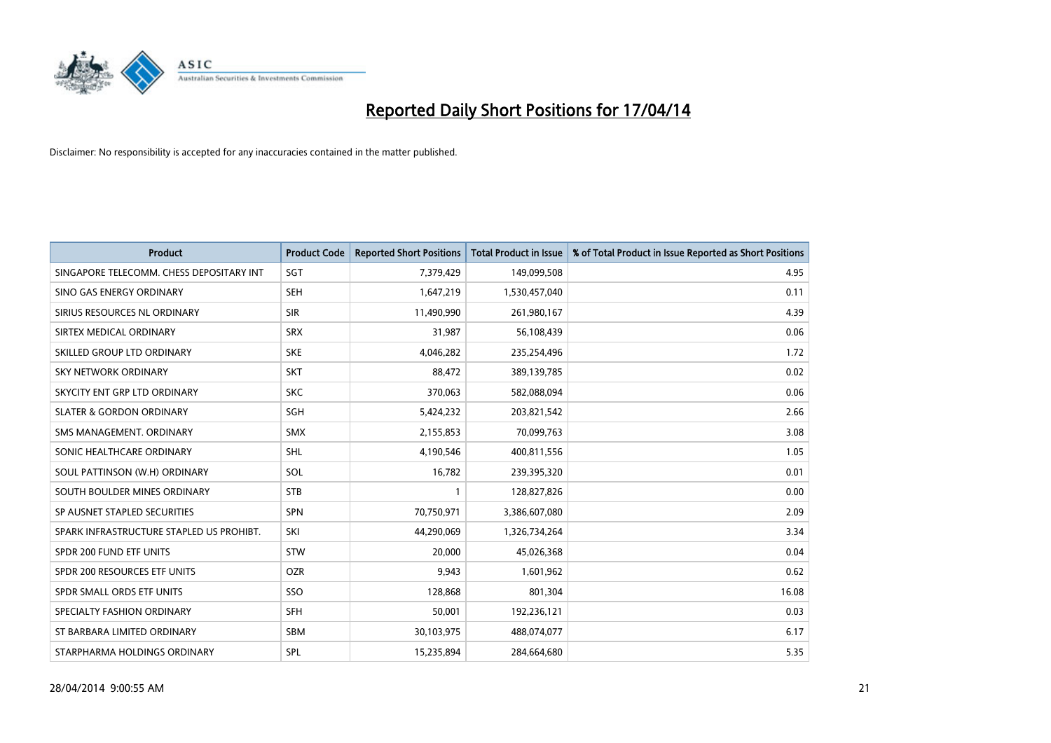

| Product                                  | <b>Product Code</b> | <b>Reported Short Positions</b> | <b>Total Product in Issue</b> | % of Total Product in Issue Reported as Short Positions |
|------------------------------------------|---------------------|---------------------------------|-------------------------------|---------------------------------------------------------|
| SINGAPORE TELECOMM. CHESS DEPOSITARY INT | SGT                 | 7,379,429                       | 149,099,508                   | 4.95                                                    |
| SINO GAS ENERGY ORDINARY                 | <b>SEH</b>          | 1,647,219                       | 1,530,457,040                 | 0.11                                                    |
| SIRIUS RESOURCES NL ORDINARY             | <b>SIR</b>          | 11,490,990                      | 261,980,167                   | 4.39                                                    |
| SIRTEX MEDICAL ORDINARY                  | <b>SRX</b>          | 31,987                          | 56,108,439                    | 0.06                                                    |
| SKILLED GROUP LTD ORDINARY               | <b>SKE</b>          | 4,046,282                       | 235,254,496                   | 1.72                                                    |
| <b>SKY NETWORK ORDINARY</b>              | <b>SKT</b>          | 88,472                          | 389,139,785                   | 0.02                                                    |
| SKYCITY ENT GRP LTD ORDINARY             | <b>SKC</b>          | 370,063                         | 582,088,094                   | 0.06                                                    |
| <b>SLATER &amp; GORDON ORDINARY</b>      | SGH                 | 5,424,232                       | 203,821,542                   | 2.66                                                    |
| SMS MANAGEMENT, ORDINARY                 | <b>SMX</b>          | 2,155,853                       | 70,099,763                    | 3.08                                                    |
| SONIC HEALTHCARE ORDINARY                | <b>SHL</b>          | 4,190,546                       | 400,811,556                   | 1.05                                                    |
| SOUL PATTINSON (W.H) ORDINARY            | SOL                 | 16,782                          | 239,395,320                   | 0.01                                                    |
| SOUTH BOULDER MINES ORDINARY             | <b>STB</b>          | 1                               | 128,827,826                   | 0.00                                                    |
| SP AUSNET STAPLED SECURITIES             | <b>SPN</b>          | 70,750,971                      | 3,386,607,080                 | 2.09                                                    |
| SPARK INFRASTRUCTURE STAPLED US PROHIBT. | SKI                 | 44,290,069                      | 1,326,734,264                 | 3.34                                                    |
| SPDR 200 FUND ETF UNITS                  | <b>STW</b>          | 20,000                          | 45,026,368                    | 0.04                                                    |
| SPDR 200 RESOURCES ETF UNITS             | <b>OZR</b>          | 9,943                           | 1,601,962                     | 0.62                                                    |
| SPDR SMALL ORDS ETF UNITS                | SSO                 | 128,868                         | 801,304                       | 16.08                                                   |
| SPECIALTY FASHION ORDINARY               | <b>SFH</b>          | 50,001                          | 192,236,121                   | 0.03                                                    |
| ST BARBARA LIMITED ORDINARY              | <b>SBM</b>          | 30,103,975                      | 488,074,077                   | 6.17                                                    |
| STARPHARMA HOLDINGS ORDINARY             | SPL                 | 15,235,894                      | 284,664,680                   | 5.35                                                    |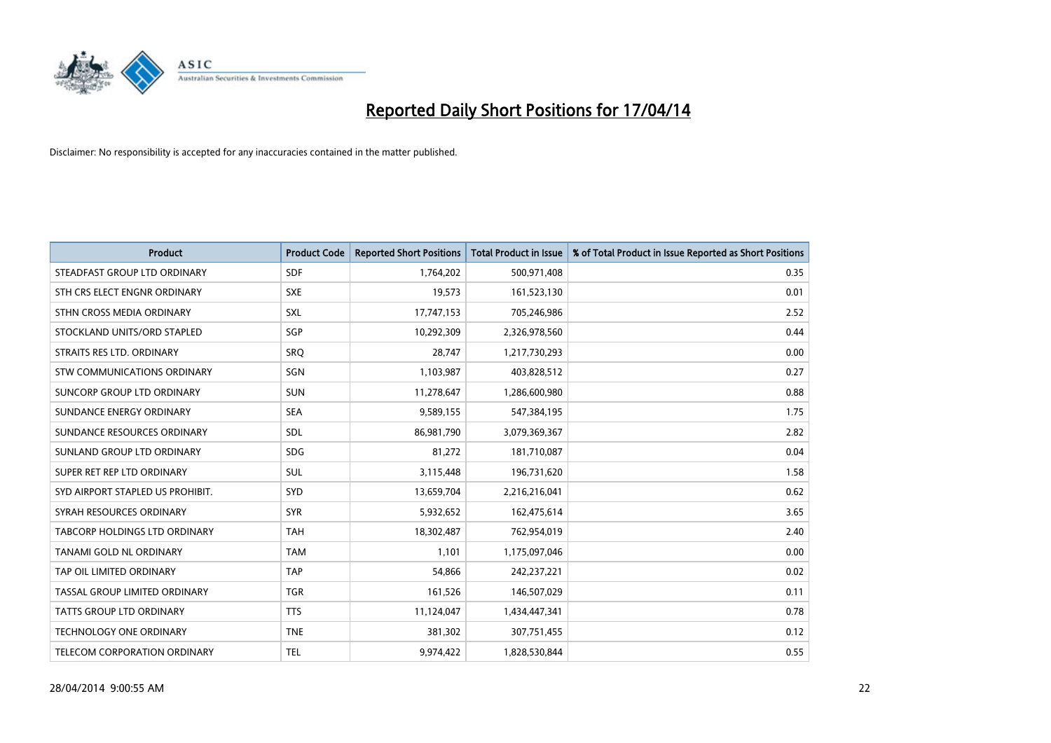

| <b>Product</b>                       | <b>Product Code</b> | <b>Reported Short Positions</b> | <b>Total Product in Issue</b> | % of Total Product in Issue Reported as Short Positions |
|--------------------------------------|---------------------|---------------------------------|-------------------------------|---------------------------------------------------------|
| STEADFAST GROUP LTD ORDINARY         | <b>SDF</b>          | 1,764,202                       | 500,971,408                   | 0.35                                                    |
| STH CRS ELECT ENGNR ORDINARY         | <b>SXE</b>          | 19,573                          | 161,523,130                   | 0.01                                                    |
| STHN CROSS MEDIA ORDINARY            | <b>SXL</b>          | 17,747,153                      | 705,246,986                   | 2.52                                                    |
| STOCKLAND UNITS/ORD STAPLED          | SGP                 | 10,292,309                      | 2,326,978,560                 | 0.44                                                    |
| STRAITS RES LTD. ORDINARY            | SRO                 | 28,747                          | 1,217,730,293                 | 0.00                                                    |
| STW COMMUNICATIONS ORDINARY          | SGN                 | 1,103,987                       | 403,828,512                   | 0.27                                                    |
| SUNCORP GROUP LTD ORDINARY           | <b>SUN</b>          | 11,278,647                      | 1,286,600,980                 | 0.88                                                    |
| SUNDANCE ENERGY ORDINARY             | <b>SEA</b>          | 9,589,155                       | 547,384,195                   | 1.75                                                    |
| SUNDANCE RESOURCES ORDINARY          | SDL                 | 86,981,790                      | 3,079,369,367                 | 2.82                                                    |
| SUNLAND GROUP LTD ORDINARY           | <b>SDG</b>          | 81,272                          | 181,710,087                   | 0.04                                                    |
| SUPER RET REP LTD ORDINARY           | SUL                 | 3,115,448                       | 196,731,620                   | 1.58                                                    |
| SYD AIRPORT STAPLED US PROHIBIT.     | <b>SYD</b>          | 13,659,704                      | 2,216,216,041                 | 0.62                                                    |
| SYRAH RESOURCES ORDINARY             | <b>SYR</b>          | 5,932,652                       | 162,475,614                   | 3.65                                                    |
| <b>TABCORP HOLDINGS LTD ORDINARY</b> | <b>TAH</b>          | 18,302,487                      | 762,954,019                   | 2.40                                                    |
| <b>TANAMI GOLD NL ORDINARY</b>       | <b>TAM</b>          | 1,101                           | 1,175,097,046                 | 0.00                                                    |
| TAP OIL LIMITED ORDINARY             | <b>TAP</b>          | 54,866                          | 242,237,221                   | 0.02                                                    |
| TASSAL GROUP LIMITED ORDINARY        | <b>TGR</b>          | 161,526                         | 146,507,029                   | 0.11                                                    |
| <b>TATTS GROUP LTD ORDINARY</b>      | <b>TTS</b>          | 11,124,047                      | 1,434,447,341                 | 0.78                                                    |
| <b>TECHNOLOGY ONE ORDINARY</b>       | <b>TNE</b>          | 381,302                         | 307,751,455                   | 0.12                                                    |
| TELECOM CORPORATION ORDINARY         | <b>TEL</b>          | 9,974,422                       | 1,828,530,844                 | 0.55                                                    |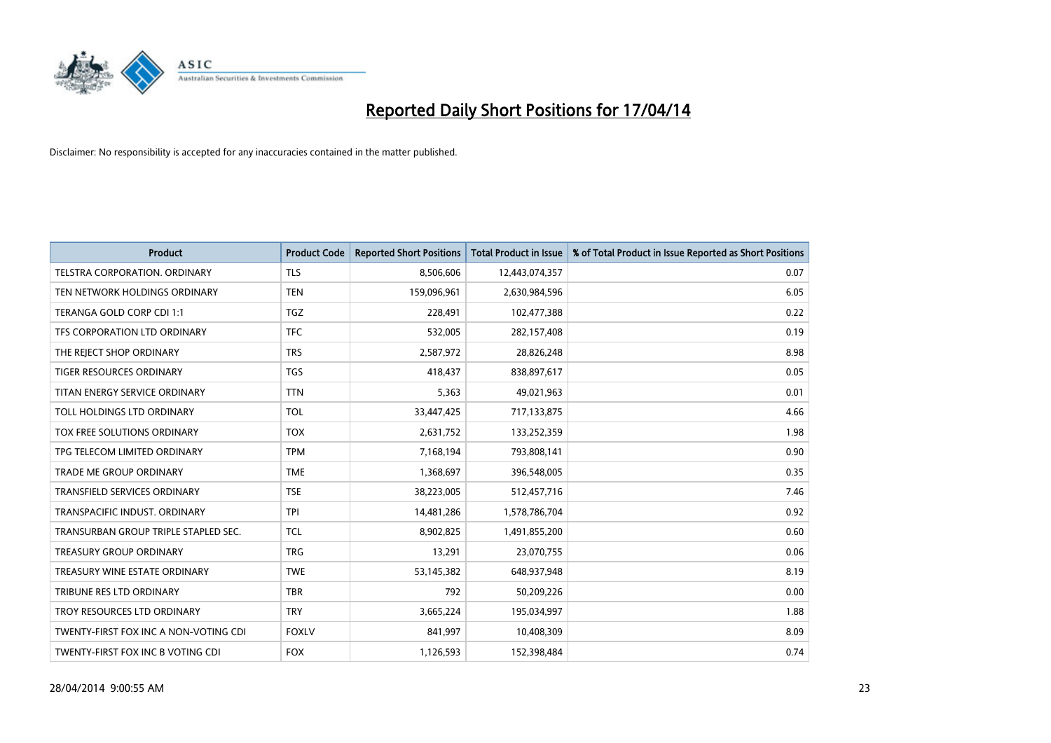

| <b>Product</b>                        | <b>Product Code</b> | <b>Reported Short Positions</b> | <b>Total Product in Issue</b> | % of Total Product in Issue Reported as Short Positions |
|---------------------------------------|---------------------|---------------------------------|-------------------------------|---------------------------------------------------------|
| <b>TELSTRA CORPORATION, ORDINARY</b>  | <b>TLS</b>          | 8,506,606                       | 12,443,074,357                | 0.07                                                    |
| TEN NETWORK HOLDINGS ORDINARY         | <b>TEN</b>          | 159,096,961                     | 2,630,984,596                 | 6.05                                                    |
| TERANGA GOLD CORP CDI 1:1             | <b>TGZ</b>          | 228,491                         | 102,477,388                   | 0.22                                                    |
| TFS CORPORATION LTD ORDINARY          | <b>TFC</b>          | 532,005                         | 282,157,408                   | 0.19                                                    |
| THE REJECT SHOP ORDINARY              | <b>TRS</b>          | 2,587,972                       | 28,826,248                    | 8.98                                                    |
| <b>TIGER RESOURCES ORDINARY</b>       | <b>TGS</b>          | 418,437                         | 838,897,617                   | 0.05                                                    |
| TITAN ENERGY SERVICE ORDINARY         | <b>TTN</b>          | 5,363                           | 49,021,963                    | 0.01                                                    |
| TOLL HOLDINGS LTD ORDINARY            | <b>TOL</b>          | 33,447,425                      | 717,133,875                   | 4.66                                                    |
| <b>TOX FREE SOLUTIONS ORDINARY</b>    | <b>TOX</b>          | 2,631,752                       | 133,252,359                   | 1.98                                                    |
| TPG TELECOM LIMITED ORDINARY          | <b>TPM</b>          | 7,168,194                       | 793,808,141                   | 0.90                                                    |
| TRADE ME GROUP ORDINARY               | <b>TME</b>          | 1,368,697                       | 396,548,005                   | 0.35                                                    |
| <b>TRANSFIELD SERVICES ORDINARY</b>   | <b>TSE</b>          | 38,223,005                      | 512,457,716                   | 7.46                                                    |
| TRANSPACIFIC INDUST, ORDINARY         | <b>TPI</b>          | 14,481,286                      | 1,578,786,704                 | 0.92                                                    |
| TRANSURBAN GROUP TRIPLE STAPLED SEC.  | TCL                 | 8,902,825                       | 1,491,855,200                 | 0.60                                                    |
| <b>TREASURY GROUP ORDINARY</b>        | <b>TRG</b>          | 13,291                          | 23,070,755                    | 0.06                                                    |
| TREASURY WINE ESTATE ORDINARY         | <b>TWE</b>          | 53,145,382                      | 648,937,948                   | 8.19                                                    |
| TRIBUNE RES LTD ORDINARY              | <b>TBR</b>          | 792                             | 50,209,226                    | 0.00                                                    |
| TROY RESOURCES LTD ORDINARY           | <b>TRY</b>          | 3,665,224                       | 195,034,997                   | 1.88                                                    |
| TWENTY-FIRST FOX INC A NON-VOTING CDI | <b>FOXLV</b>        | 841,997                         | 10,408,309                    | 8.09                                                    |
| TWENTY-FIRST FOX INC B VOTING CDI     | <b>FOX</b>          | 1,126,593                       | 152,398,484                   | 0.74                                                    |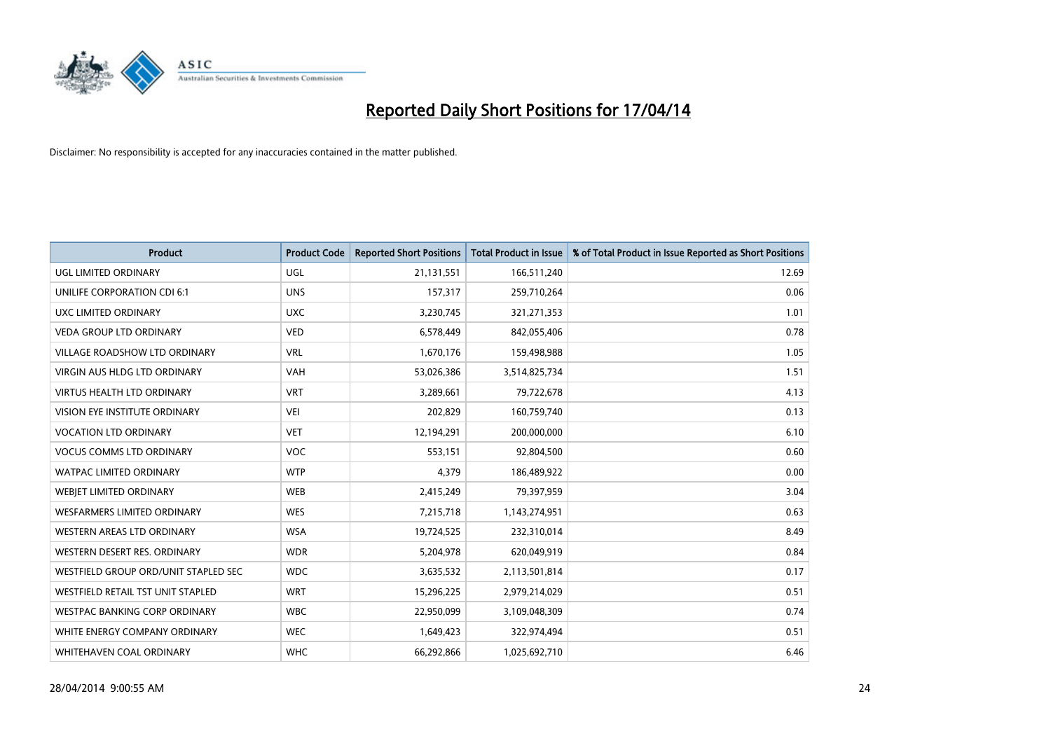

| <b>Product</b>                       | <b>Product Code</b> | <b>Reported Short Positions</b> | <b>Total Product in Issue</b> | % of Total Product in Issue Reported as Short Positions |
|--------------------------------------|---------------------|---------------------------------|-------------------------------|---------------------------------------------------------|
| <b>UGL LIMITED ORDINARY</b>          | UGL                 | 21,131,551                      | 166,511,240                   | 12.69                                                   |
| UNILIFE CORPORATION CDI 6:1          | <b>UNS</b>          | 157,317                         | 259,710,264                   | 0.06                                                    |
| UXC LIMITED ORDINARY                 | <b>UXC</b>          | 3,230,745                       | 321,271,353                   | 1.01                                                    |
| <b>VEDA GROUP LTD ORDINARY</b>       | <b>VED</b>          | 6,578,449                       | 842,055,406                   | 0.78                                                    |
| <b>VILLAGE ROADSHOW LTD ORDINARY</b> | <b>VRL</b>          | 1,670,176                       | 159,498,988                   | 1.05                                                    |
| <b>VIRGIN AUS HLDG LTD ORDINARY</b>  | <b>VAH</b>          | 53,026,386                      | 3,514,825,734                 | 1.51                                                    |
| <b>VIRTUS HEALTH LTD ORDINARY</b>    | <b>VRT</b>          | 3,289,661                       | 79,722,678                    | 4.13                                                    |
| VISION EYE INSTITUTE ORDINARY        | <b>VEI</b>          | 202,829                         | 160,759,740                   | 0.13                                                    |
| <b>VOCATION LTD ORDINARY</b>         | <b>VET</b>          | 12,194,291                      | 200,000,000                   | 6.10                                                    |
| <b>VOCUS COMMS LTD ORDINARY</b>      | <b>VOC</b>          | 553,151                         | 92,804,500                    | 0.60                                                    |
| WATPAC LIMITED ORDINARY              | <b>WTP</b>          | 4,379                           | 186,489,922                   | 0.00                                                    |
| WEBIET LIMITED ORDINARY              | <b>WEB</b>          | 2,415,249                       | 79,397,959                    | 3.04                                                    |
| <b>WESFARMERS LIMITED ORDINARY</b>   | <b>WES</b>          | 7,215,718                       | 1,143,274,951                 | 0.63                                                    |
| WESTERN AREAS LTD ORDINARY           | <b>WSA</b>          | 19,724,525                      | 232,310,014                   | 8.49                                                    |
| WESTERN DESERT RES. ORDINARY         | <b>WDR</b>          | 5,204,978                       | 620,049,919                   | 0.84                                                    |
| WESTFIELD GROUP ORD/UNIT STAPLED SEC | <b>WDC</b>          | 3,635,532                       | 2,113,501,814                 | 0.17                                                    |
| WESTFIELD RETAIL TST UNIT STAPLED    | <b>WRT</b>          | 15,296,225                      | 2,979,214,029                 | 0.51                                                    |
| WESTPAC BANKING CORP ORDINARY        | <b>WBC</b>          | 22,950,099                      | 3,109,048,309                 | 0.74                                                    |
| WHITE ENERGY COMPANY ORDINARY        | <b>WEC</b>          | 1,649,423                       | 322,974,494                   | 0.51                                                    |
| WHITEHAVEN COAL ORDINARY             | <b>WHC</b>          | 66,292,866                      | 1,025,692,710                 | 6.46                                                    |